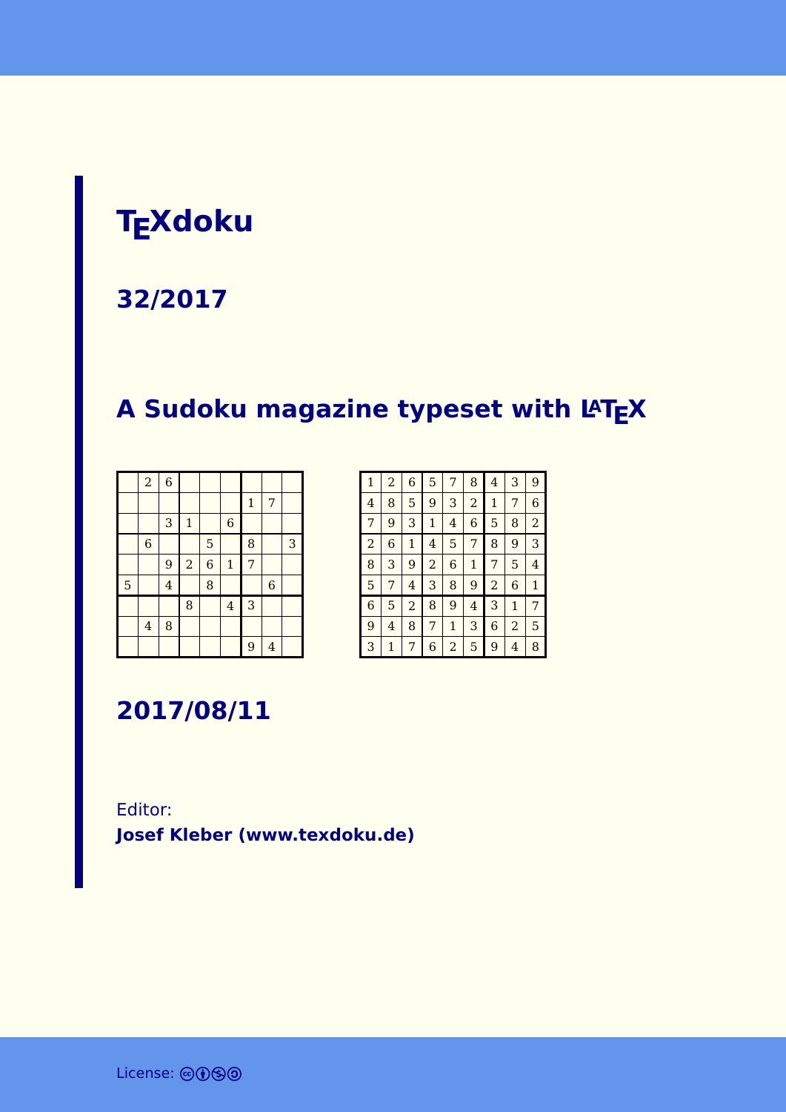### **TEXdoku**

#### **32/2017**

### **A Sudoku magazine typeset with LATEX**

|   | $\boldsymbol{2}$        | $\overline{6}$ |              |                  |                |              |                |   |
|---|-------------------------|----------------|--------------|------------------|----------------|--------------|----------------|---|
|   |                         |                |              |                  |                | $\mathbf{1}$ | 7              |   |
|   |                         | 3              | $\mathbf{1}$ |                  | $\overline{6}$ |              |                |   |
|   | $\overline{6}$          |                |              | 5                |                | 8            |                | 3 |
|   |                         | 9              | $\,2$        | $\boldsymbol{6}$ | $\mathbf 1$    | 7            |                |   |
| 5 |                         | $\overline{4}$ |              | 8                |                |              | $\overline{6}$ |   |
|   |                         |                | 8            |                  | $\overline{4}$ | 3            |                |   |
|   | $\overline{\mathbf{4}}$ | 8              |              |                  |                |              |                |   |
|   |                         |                |              |                  |                | 9            | $\overline{4}$ |   |

| $\mathbf{1}$   | $\overline{a}$ | 6            | 5              | 7            | 8            | 4              | 3              | 9              |
|----------------|----------------|--------------|----------------|--------------|--------------|----------------|----------------|----------------|
| $\overline{4}$ | 8              | 5            | 9              | 3            | 2            | 1              | 7              | 6              |
| 7              | 9              | 3            | $\mathbf 1$    | 4            | 6            | 5              | 8              | $\overline{2}$ |
| $\overline{a}$ | 6              | $\mathbf{1}$ | 4              | 5            | 7            | 8              | 9              | 3              |
| 8              | 3              | 9            | $\overline{2}$ | 6            | $\mathbf{1}$ | 7              | 5              | 4              |
| 5              | 7              | 4            | 3              | 8            | 9            | $\overline{a}$ | 6              | $\mathbf{1}$   |
| 6              | 5              | 2            | 8              | 9            | 4            | 3              | $\mathbf{1}$   | 7              |
| 9              | 4              | 8            | 7              | $\mathbf{1}$ | 3            | 6              | $\overline{2}$ | 5              |
| 3              | 1              | 7            | 6              | 2            | 5            | 9              | 4              | 8              |

**2017/08/11**

#### Editor: **[Josef Kleber \(www.texdoku.de\)](mailto:texdoku@texdoku.de)**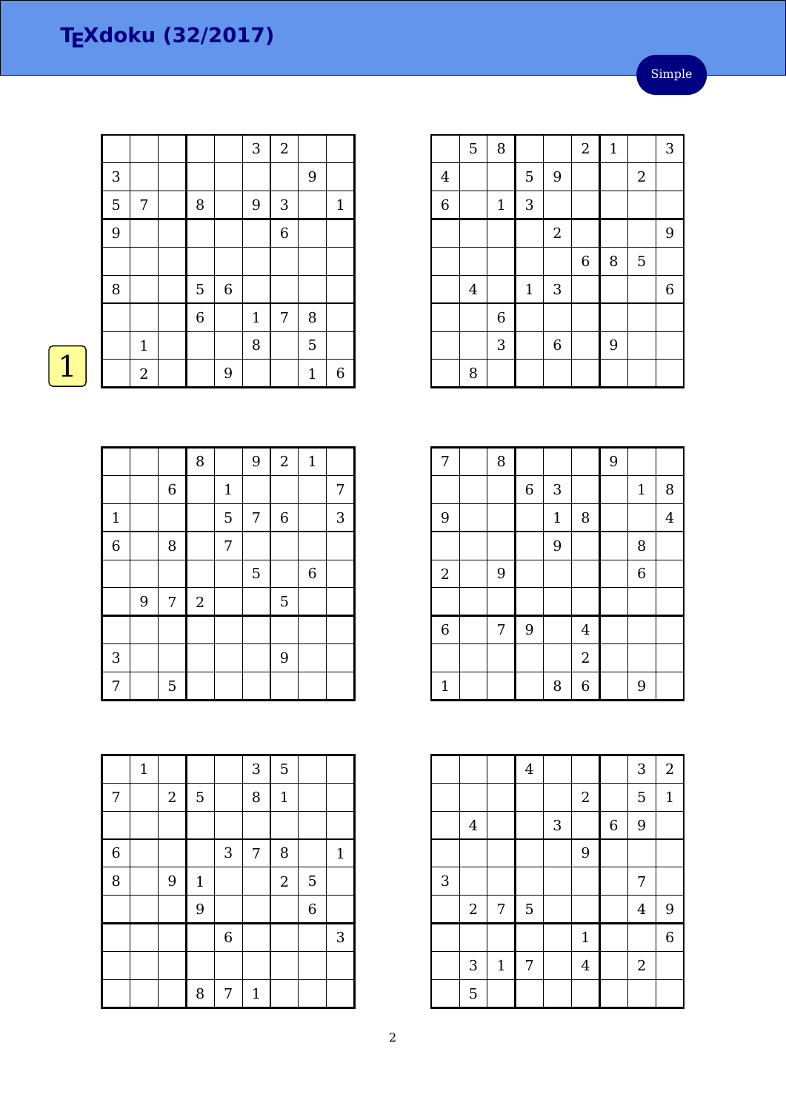#### Simple

|              |             |                |         | 3            | $\sqrt{2}$     |              |              |
|--------------|-------------|----------------|---------|--------------|----------------|--------------|--------------|
| $\mathbf{3}$ |             |                |         |              |                | 9            |              |
| 5            | 7           | $\, 8$         |         | 9            | 3              |              | $\mathbf{1}$ |
| 9            |             |                |         |              | $\,$ 6 $\,$    |              |              |
|              |             |                |         |              |                |              |              |
| 8            |             | $\overline{5}$ | $\,6\,$ |              |                |              |              |
|              |             | $\overline{6}$ |         | $\mathbf{1}$ | $\overline{7}$ | 8            |              |
|              | $\mathbf 1$ |                |         | 8            |                | 5            |              |
|              | $\sqrt{2}$  |                | 9       |              |                | $\mathbf{1}$ | $\,6$        |

|                | 5       | $\, 8$      |              |                           | $\overline{c}$ | $\mathbf{1}$ |            | 3     |
|----------------|---------|-------------|--------------|---------------------------|----------------|--------------|------------|-------|
| $\overline{4}$ |         |             | 5            | 9                         |                |              | $\sqrt{2}$ |       |
| 6              |         | $1\,$       | $\mathsf{3}$ |                           |                |              |            |       |
|                |         |             |              | $\sqrt{2}$                |                |              |            | 9     |
|                |         |             |              |                           | $\,$ 6 $\,$    | $\, 8$       | 5          |       |
|                | $\bf 4$ |             | $1\,$        | $\ensuremath{\mathsf{3}}$ |                |              |            | $\,6$ |
|                |         | $\,$ 6 $\,$ |              |                           |                |              |            |       |
|                |         | 3           |              | $\boldsymbol{6}$          |                | 9            |            |       |
|                | 8       |             |              |                           |                |              |            |       |

| $\overline{7}$ | 8 |                  |             |                | 9 |                  |                         |
|----------------|---|------------------|-------------|----------------|---|------------------|-------------------------|
|                |   | $\boldsymbol{6}$ | $\sqrt{3}$  |                |   | $1\,$            | 8                       |
| 9              |   |                  | $\mathbf 1$ | 8              |   |                  | $\overline{\mathbf{4}}$ |
|                |   |                  | 9           |                |   | 8                |                         |
| $\sqrt{2}$     | 9 |                  |             |                |   | $\boldsymbol{6}$ |                         |
|                |   |                  |             |                |   |                  |                         |
| $\overline{6}$ | 7 | 9                |             | $\overline{4}$ |   |                  |                         |
|                |   |                  |             | $\overline{2}$ |   |                  |                         |
| $\mathbf{1}$   |   |                  | 8           | $\overline{6}$ |   | 9                |                         |

|   |                |              | $\bf 4$     |                |                  |                  | 3              | $\boldsymbol{2}$ |
|---|----------------|--------------|-------------|----------------|------------------|------------------|----------------|------------------|
|   |                |              |             |                | $\boldsymbol{2}$ |                  | 5              | $\mathbf{1}$     |
|   | $\overline{4}$ |              |             | $\mathfrak{Z}$ |                  | $\boldsymbol{6}$ | 9              |                  |
|   |                |              |             |                | 9                |                  |                |                  |
| 3 |                |              |             |                |                  |                  | 7              |                  |
|   | $\overline{2}$ | 7            | $\mathbf 5$ |                |                  |                  | $\overline{4}$ | 9                |
|   |                |              |             |                | $\mathbf{1}$     |                  |                | $\overline{6}$   |
|   | 3              | $\mathbf{1}$ | 7           |                | $\overline{4}$   |                  | $\sqrt{2}$     |                  |
|   | 5              |              |             |                |                  |                  |                |                  |

|                |   |             | 8          |             | 9          | $\overline{2}$ | $\mathbf{1}$ |   |
|----------------|---|-------------|------------|-------------|------------|----------------|--------------|---|
|                |   | $\,$ 6 $\,$ |            | $\mathbf 1$ |            |                |              | 7 |
| $\mathbf{1}$   |   |             |            | 5           | $\sqrt{ }$ | $\,$ 6 $\,$    |              | 3 |
| $\overline{6}$ |   | 8           |            | 7           |            |                |              |   |
|                |   |             |            |             | 5          |                | $\,$ 6 $\,$  |   |
|                | 9 | 7           | $\sqrt{2}$ |             |            | 5              |              |   |
|                |   |             |            |             |            |                |              |   |
| 3              |   |             |            |             |            | 9              |              |   |
| 7              |   | 5           |            |             |            |                |              |   |

|             | $\mathbf 1$ |            |              |                  | 3            | 5              |                |              |
|-------------|-------------|------------|--------------|------------------|--------------|----------------|----------------|--------------|
| 7           |             | $\sqrt{2}$ | 5            |                  | 8            | $1\,$          |                |              |
|             |             |            |              |                  |              |                |                |              |
| $\,$ 6 $\,$ |             |            |              | 3                | 7            | 8              |                | $\mathbf{1}$ |
| 8           |             | 9          | $\mathbf{1}$ |                  |              | $\overline{a}$ | 5              |              |
|             |             |            | 9            |                  |              |                | $\overline{6}$ |              |
|             |             |            |              | $\boldsymbol{6}$ |              |                |                | 3            |
|             |             |            |              |                  |              |                |                |              |
|             |             |            | 8            | 7                | $\mathbf{1}$ |                |                |              |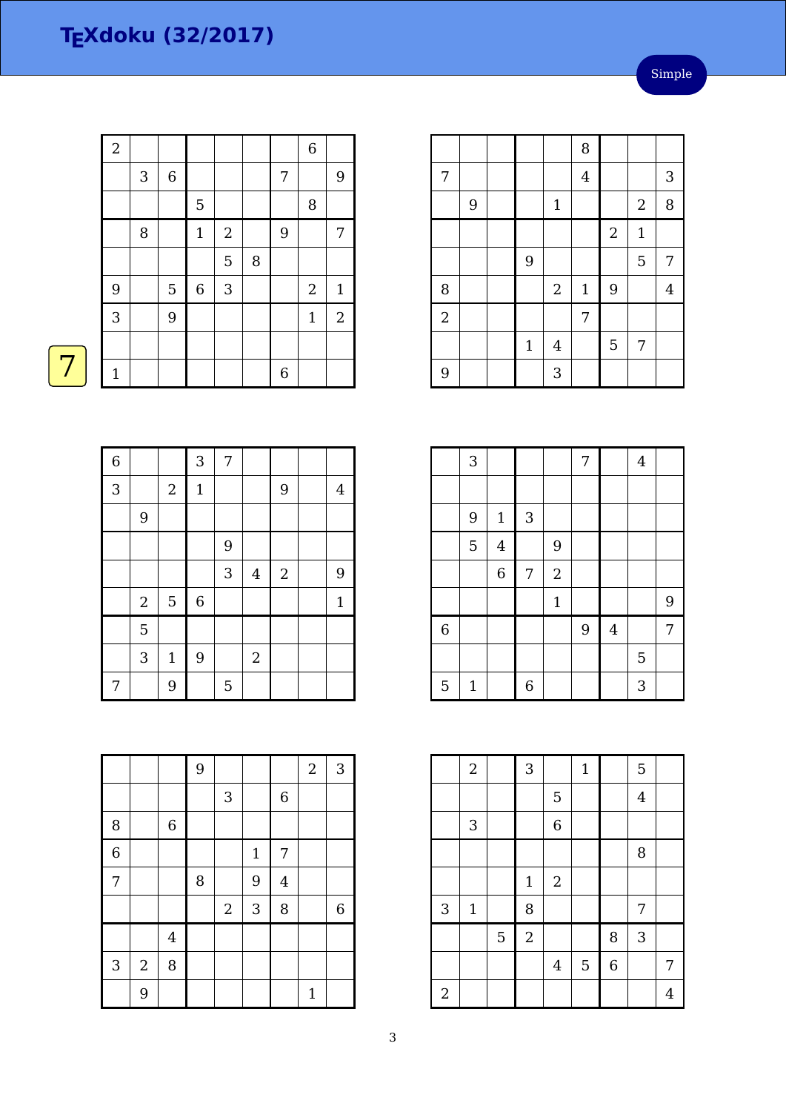| $\overline{2}$ |   |             |             |                           |   |   | $\,$ 6 $\,$    |                |
|----------------|---|-------------|-------------|---------------------------|---|---|----------------|----------------|
|                | 3 | $\,6\,$     |             |                           |   | 7 |                | $\overline{9}$ |
|                |   |             | 5           |                           |   |   | $\, 8$         |                |
|                | 8 |             | $\mathbf 1$ | $\boldsymbol{2}$          |   | 9 |                | 7              |
|                |   |             |             | 5                         | 8 |   |                |                |
| 9              |   | $\mathbf 5$ | $\,$ 6 $\,$ | $\ensuremath{\mathsf{3}}$ |   |   | $\overline{2}$ | $\mathbf{1}$   |
| 3              |   | 9           |             |                           |   |   | $1\,$          | $\mathbf{2}$   |
|                |   |             |             |                           |   |   |                |                |
| $\mathbf 1$    |   |             |             |                           |   | 6 |                |                |

|                |   |             |                | 8              |                |                  |                |
|----------------|---|-------------|----------------|----------------|----------------|------------------|----------------|
| 7              |   |             |                | $\overline{4}$ |                |                  | 3              |
|                | 9 |             | $1\,$          |                |                | $\boldsymbol{2}$ | 8              |
|                |   |             |                |                | $\sqrt{2}$     | $1\,$            |                |
|                |   | 9           |                |                |                | 5                | 7              |
| $\, 8$         |   |             | $\sqrt{2}$     | $\mathbf{1}$   | $9$            |                  | $\overline{4}$ |
| $\overline{2}$ |   |             |                | 7              |                |                  |                |
|                |   | $\mathbf 1$ | $\overline{4}$ |                | $\overline{5}$ | 7                |                |
| 9              |   |             | 3              |                |                |                  |                |

|                | 3              |                |                |              | 7 |                | $\overline{4}$ |   |
|----------------|----------------|----------------|----------------|--------------|---|----------------|----------------|---|
|                |                |                |                |              |   |                |                |   |
|                | $\overline{9}$ | $\mathbf 1$    | 3              |              |   |                |                |   |
|                | 5              | $\overline{4}$ |                | 9            |   |                |                |   |
|                |                | $\overline{6}$ | 7              | $\sqrt{2}$   |   |                |                |   |
|                |                |                |                | $\mathbf{1}$ |   |                |                | 9 |
| $\overline{6}$ |                |                |                |              | 9 | $\overline{4}$ |                | 7 |
|                |                |                |                |              |   |                | 5              |   |
| 5              | $\mathbf 1$    |                | $\overline{6}$ |              |   |                | 3              |   |

|                | $\overline{a}$ |   | $\overline{3}$ |                  | $\mathbf{1}$ |                | 5              |   |
|----------------|----------------|---|----------------|------------------|--------------|----------------|----------------|---|
|                |                |   |                | 5                |              |                | $\overline{4}$ |   |
|                | $\mathbf{3}$   |   |                | $\,$ 6 $\,$      |              |                |                |   |
|                |                |   |                |                  |              |                | 8              |   |
|                |                |   | $\mathbf{1}$   | $\boldsymbol{2}$ |              |                |                |   |
| $\sqrt{3}$     | $\mathbf 1$    |   | 8              |                  |              |                | 7              |   |
|                |                | 5 | $\overline{2}$ |                  |              | 8              | 3              |   |
|                |                |   |                | $\bf 4$          | 5            | $\overline{6}$ |                | 7 |
| $\overline{2}$ |                |   |                |                  |              |                |                | 4 |

| <b>STATE OF STATE OF STATE OF STATE OF STATE OF STATE OF STATE OF STATE OF STATE OF STATE OF STATE OF STATE OF S</b> |  |
|----------------------------------------------------------------------------------------------------------------------|--|
|                                                                                                                      |  |

| 6 |       |                | $\mathbf{3}$   | 7 |                |            |             |
|---|-------|----------------|----------------|---|----------------|------------|-------------|
| 3 |       | $\sqrt{2}$     | $\mathbf{1}$   |   |                | 9          | 4           |
|   | 9     |                |                |   |                |            |             |
|   |       |                |                | 9 |                |            |             |
|   |       |                |                | 3 | $\overline{4}$ | $\sqrt{2}$ | 9           |
|   | $\,2$ | $\overline{5}$ | $\overline{6}$ |   |                |            | $\mathbf 1$ |
|   | 5     |                |                |   |                |            |             |
|   | 3     | $\mathbf{1}$   | $\overline{9}$ |   | $\sqrt{2}$     |            |             |
| 7 |       | 9              |                | 5 |                |            |             |

|                |            |                         | 9 |                           |             |                | $\overline{2}$ | 3              |
|----------------|------------|-------------------------|---|---------------------------|-------------|----------------|----------------|----------------|
|                |            |                         |   | $\ensuremath{\mathsf{3}}$ |             | $\,$ 6 $\,$    |                |                |
| 8              |            | $\,$ 6 $\,$             |   |                           |             |                |                |                |
| $\overline{6}$ |            |                         |   |                           | $\mathbf 1$ | 7              |                |                |
| 7              |            |                         | 8 |                           | 9           | $\overline{4}$ |                |                |
|                |            |                         |   | $\sqrt{2}$                | $\sqrt{3}$  | 8              |                | $\overline{6}$ |
|                |            | $\overline{\mathbf{4}}$ |   |                           |             |                |                |                |
| 3              | $\sqrt{2}$ | 8                       |   |                           |             |                |                |                |
|                | 9          |                         |   |                           |             |                | $\mathbf{1}$   |                |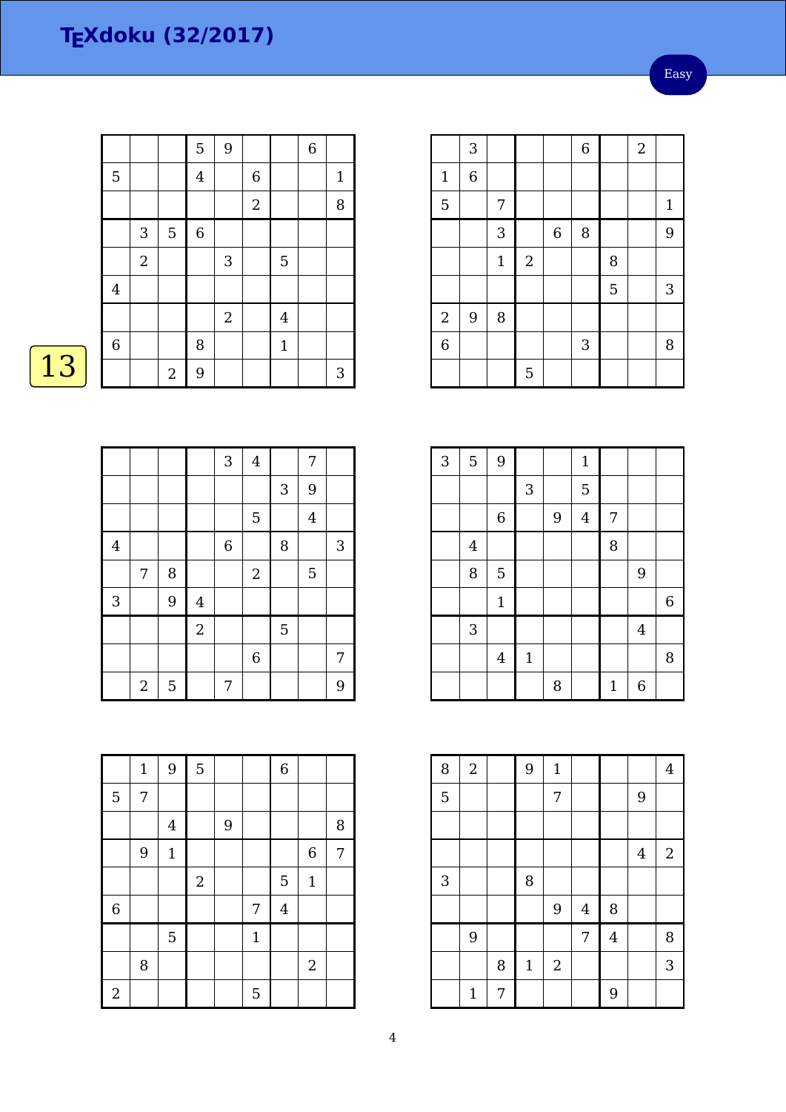Easy

|    |                |              |             | $\overline{5}$ | 9            |                  |              | $\,$ 6 $\,$ |             |
|----|----------------|--------------|-------------|----------------|--------------|------------------|--------------|-------------|-------------|
|    | 5              |              |             | $\overline{4}$ |              | $\,$ 6 $\,$      |              |             | $\mathbf 1$ |
|    |                |              |             |                |              | $\boldsymbol{2}$ |              |             | 8           |
|    |                | $\sqrt{3}$   | $\mathbf 5$ | $\,$ 6 $\,$    |              |                  |              |             |             |
|    |                | $\mathbf{2}$ |             |                | $\sqrt{3}$   |                  | 5            |             |             |
|    | $\overline{4}$ |              |             |                |              |                  |              |             |             |
|    |                |              |             |                | $\mathbf{2}$ |                  | $\bf 4$      |             |             |
|    | $\,$ 6 $\,$    |              |             | 8              |              |                  | $\mathbf{1}$ |             |             |
| 13 |                |              | $\sqrt{2}$  | 9              |              |                  |              |             | 3           |
|    |                |              |             |                |              |                  |              |             |             |

|                |                  |                |                | 3     | $\bf 4$        |   | 7                       |            |
|----------------|------------------|----------------|----------------|-------|----------------|---|-------------------------|------------|
|                |                  |                |                |       |                | 3 | 9                       |            |
|                |                  |                |                |       | 5              |   | $\overline{\mathbf{4}}$ |            |
| $\overline{4}$ |                  |                |                | $\,6$ |                | 8 |                         | $\sqrt{3}$ |
|                | 7                | 8              |                |       | $\overline{2}$ |   | 5                       |            |
| 3              |                  | 9              | $\overline{4}$ |       |                |   |                         |            |
|                |                  |                | $\sqrt{2}$     |       |                | 5 |                         |            |
|                |                  |                |                |       | $\,$ 6 $\,$    |   |                         | 7          |
|                | $\boldsymbol{2}$ | $\overline{5}$ |                | 7     |                |   |                         | 9          |

8 | | | | | | | 2

2 | | | | | 5

 $5 \mid 7$ 

|   | $\overline{a}$   | 5 <sub>5</sub>   |             | 7   |              |                |             | 9              |  |                    |
|---|------------------|------------------|-------------|-----|--------------|----------------|-------------|----------------|--|--------------------|
|   |                  |                  |             |     |              |                |             |                |  |                    |
|   | $1\,$            | $9\,$            | $\mathbf 5$ |     |              | $\,$ 6 $\,$    |             |                |  | {                  |
| 5 | 7                |                  |             |     |              |                |             |                |  | $\overline{\cdot}$ |
|   |                  | $\boldsymbol{4}$ |             | $9$ |              |                |             | $\, 8$         |  |                    |
|   | $\boldsymbol{9}$ | $1\,$            |             |     |              |                | $\,$ 6 $\,$ | $\overline{7}$ |  |                    |
|   |                  |                  | $\sqrt{2}$  |     |              | $\overline{5}$ | $\mathbf 1$ |                |  | $\ddot{\cdot}$     |
| 6 |                  |                  |             |     | 7            | $\bf 4$        |             |                |  |                    |
|   |                  | $\overline{5}$   |             |     | $\mathbf{1}$ |                |             |                |  |                    |
|   |                  |                  |             |     |              |                |             |                |  |                    |

|                | 3              |       |            |                  | $\overline{6}$ |   | $\sqrt{2}$ |              |
|----------------|----------------|-------|------------|------------------|----------------|---|------------|--------------|
| $\mathbf 1$    | $\overline{6}$ |       |            |                  |                |   |            |              |
| $\overline{5}$ |                | 7     |            |                  |                |   |            | $\mathbf{1}$ |
|                |                | 3     |            | $\boldsymbol{6}$ | 8              |   |            | 9            |
|                |                | $1\,$ | $\sqrt{2}$ |                  |                | 8 |            |              |
|                |                |       |            |                  |                | 5 |            | 3            |
| $\sqrt{2}$     | 9              | 8     |            |                  |                |   |            |              |
| 6              |                |       |            |                  | $\mathbf{3}$   |   |            | 8            |
|                |                |       | 5          |                  |                |   |            |              |

| $\overline{3}$ | 5                       | 9              |                           |   | $\mathbf{1}$   |              |                  |   |
|----------------|-------------------------|----------------|---------------------------|---|----------------|--------------|------------------|---|
|                |                         |                | $\ensuremath{\mathsf{3}}$ |   | 5              |              |                  |   |
|                |                         | $\,$ 6 $\,$    |                           | 9 | $\overline{4}$ | 7            |                  |   |
|                | $\overline{\mathbf{4}}$ |                |                           |   |                | 8            |                  |   |
|                | 8                       | 5              |                           |   |                |              | 9                |   |
|                |                         | $\mathbf{1}$   |                           |   |                |              |                  | 6 |
|                | 3                       |                |                           |   |                |              | $\overline{4}$   |   |
|                |                         | $\overline{4}$ | $1\,$                     |   |                |              |                  | 8 |
|                |                         |                |                           | 8 |                | $\mathbf{1}$ | $\boldsymbol{6}$ |   |

| 8 | $\sqrt{2}$  |   | 9           | $1\,$      |                |                |         | $\overline{4}$ |
|---|-------------|---|-------------|------------|----------------|----------------|---------|----------------|
| 5 |             |   |             | 7          |                |                | 9       |                |
|   |             |   |             |            |                |                |         |                |
|   |             |   |             |            |                |                | $\bf 4$ | $2\,$          |
| 3 |             |   | 8           |            |                |                |         |                |
|   |             |   |             | 9          | $\overline{4}$ | 8              |         |                |
|   | 9           |   |             |            | 7              | $\overline{4}$ |         | 8              |
|   |             | 8 | $\mathbf 1$ | $\sqrt{2}$ |                |                |         | 3              |
|   | $\mathbf 1$ | 7 |             |            |                | 9              |         |                |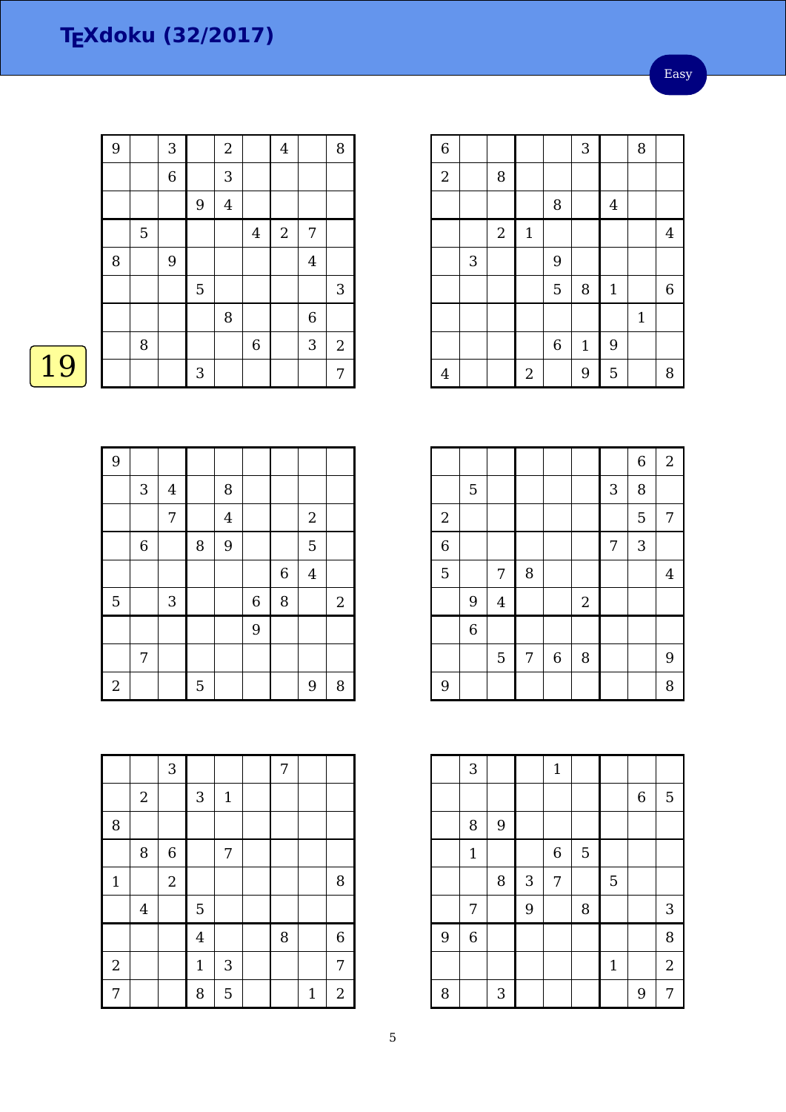| 9 |   | 3              |             | $\overline{c}$ |                | $\overline{4}$ |                         | 8              |
|---|---|----------------|-------------|----------------|----------------|----------------|-------------------------|----------------|
|   |   | $\overline{6}$ |             | 3              |                |                |                         |                |
|   |   |                | 9           | $\overline{4}$ |                |                |                         |                |
|   | 5 |                |             |                | $\overline{4}$ | $\sqrt{2}$     | 7                       |                |
| 8 |   | 9              |             |                |                |                | $\overline{\mathbf{4}}$ |                |
|   |   |                | $\mathbf 5$ |                |                |                |                         | 3              |
|   |   |                |             | 8              |                |                | $\,$ 6 $\,$             |                |
|   | 8 |                |             |                | $\overline{6}$ |                | 3                       | $\overline{c}$ |
|   |   |                | 3           |                |                |                |                         | 7              |

## $\boxed{19}$

| 9          |            |              |   |                |             |   |                |                |
|------------|------------|--------------|---|----------------|-------------|---|----------------|----------------|
|            | $\sqrt{3}$ | $\bf 4$      |   | 8              |             |   |                |                |
|            |            | 7            |   | $\overline{4}$ |             |   | $\sqrt{2}$     |                |
|            | $\,6\,$    |              | 8 | 9              |             |   | 5              |                |
|            |            |              |   |                |             | 6 | $\overline{4}$ |                |
| 5          |            | $\mathbf{3}$ |   |                | $\,$ 6 $\,$ | 8 |                | $\overline{2}$ |
|            |            |              |   |                | 9           |   |                |                |
|            | 7          |              |   |                |             |   |                |                |
| $\sqrt{2}$ |            |              | 5 |                |             |   | 9              | 8              |

|                |                         | 3              |                |                           | 7 |              |                |
|----------------|-------------------------|----------------|----------------|---------------------------|---|--------------|----------------|
|                | $\overline{2}$          |                | 3              | $\mathbf 1$               |   |              |                |
| 8              |                         |                |                |                           |   |              |                |
|                | 8                       | $\,$ 6 $\,$    |                | 7                         |   |              |                |
| $\mathbf{1}$   |                         | $\overline{2}$ |                |                           |   |              | 8              |
|                | $\overline{\mathbf{4}}$ |                | 5              |                           |   |              |                |
|                |                         |                | $\overline{4}$ |                           | 8 |              | $\overline{6}$ |
| $\overline{a}$ |                         |                | $\mathbf 1$    | $\ensuremath{\mathsf{3}}$ |   |              | $\overline{7}$ |
| 7              |                         |                | 8              | 5                         |   | $\mathbf{1}$ | $\overline{2}$ |

| $\overline{6}$ |   |                |            |             | 3            |                | 8            |                  |
|----------------|---|----------------|------------|-------------|--------------|----------------|--------------|------------------|
| $\overline{2}$ |   | 8              |            |             |              |                |              |                  |
|                |   |                |            | 8           |              | $\overline{4}$ |              |                  |
|                |   | $\overline{2}$ | $1\,$      |             |              |                |              | $\overline{4}$   |
|                | 3 |                |            | 9           |              |                |              |                  |
|                |   |                |            | 5           | 8            | $\mathbf 1$    |              | $\boldsymbol{6}$ |
|                |   |                |            |             |              |                | $\mathbf{1}$ |                  |
|                |   |                |            | $\,$ 6 $\,$ | $\mathbf{1}$ | 9              |              |                  |
| $\overline{4}$ |   |                | $\sqrt{2}$ |             | 9            | 5              |              | 8                |

|                |                |                |   |                  |            |                | $\overline{6}$ | $\sqrt{2}$     |
|----------------|----------------|----------------|---|------------------|------------|----------------|----------------|----------------|
|                | 5              |                |   |                  |            | 3              | 8              |                |
| $\sqrt{2}$     |                |                |   |                  |            |                | 5              | 7              |
| $\overline{6}$ |                |                |   |                  |            | $\overline{7}$ | 3              |                |
| 5              |                | 7              | 8 |                  |            |                |                | $\overline{4}$ |
|                | 9              | $\overline{4}$ |   |                  | $\sqrt{2}$ |                |                |                |
|                | $\overline{6}$ |                |   |                  |            |                |                |                |
|                |                | $\overline{5}$ | 7 | $\boldsymbol{6}$ | 8          |                |                | 9              |
| 9              |                |                |   |                  |            |                |                | 8              |

|   | 3              |   |   | $\mathbf 1$    |   |              |   |                |
|---|----------------|---|---|----------------|---|--------------|---|----------------|
|   |                |   |   |                |   |              | 6 | 5              |
|   | 8              | 9 |   |                |   |              |   |                |
|   | $\mathbf{1}$   |   |   | $\overline{6}$ | 5 |              |   |                |
|   |                | 8 | 3 | 7              |   | 5            |   |                |
|   | 7              |   | 9 |                | 8 |              |   | 3              |
| 9 | $\overline{6}$ |   |   |                |   |              |   | 8              |
|   |                |   |   |                |   | $\mathbf{1}$ |   | $\overline{2}$ |
| 8 |                | 3 |   |                |   |              | 9 | 7              |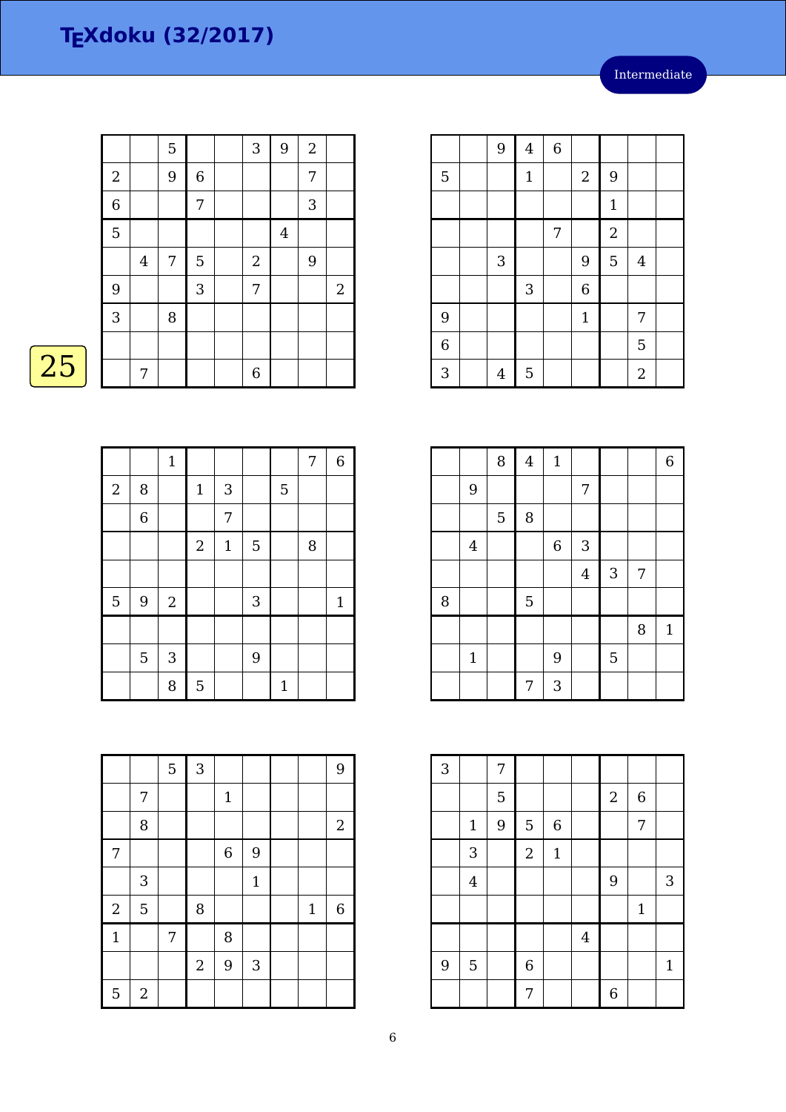|                |         | 5              |   | 3          | 9              | $\overline{2}$ |                |
|----------------|---------|----------------|---|------------|----------------|----------------|----------------|
| $\sqrt{2}$     |         | 9              | 6 |            |                | 7              |                |
| $\overline{6}$ |         |                | 7 |            |                | 3              |                |
| 5              |         |                |   |            | $\overline{4}$ |                |                |
|                | $\bf 4$ | $\overline{7}$ | 5 | $\sqrt{2}$ |                | 9              |                |
| 9              |         |                | 3 | 7          |                |                | $\overline{2}$ |
| $\overline{3}$ |         | 8              |   |            |                |                |                |
|                |         |                |   |            |                |                |                |
|                | 7       |                |   | 6          |                |                |                |

## $\overline{25}$

|            |   | $\mathbf{1}$   |            |              |   |              | $\sqrt{ }$ | $\,$ 6 $\,$ |
|------------|---|----------------|------------|--------------|---|--------------|------------|-------------|
| $\sqrt{2}$ | 8 |                | $1\,$      | 3            |   | 5            |            |             |
|            | 6 |                |            | 7            |   |              |            |             |
|            |   |                | $\sqrt{2}$ | $\mathbf{1}$ | 5 |              | 8          |             |
|            |   |                |            |              |   |              |            |             |
| 5          | 9 | $\overline{2}$ |            |              | 3 |              |            | $\mathbf 1$ |
|            |   |                |            |              |   |              |            |             |
|            | 5 | $\sqrt{3}$     |            |              | 9 |              |            |             |
|            |   | 8              | 5          |              |   | $\mathbf{1}$ |            |             |

|                         |                  | 5 | $\overline{3}$ |                |              |              | 9          |
|-------------------------|------------------|---|----------------|----------------|--------------|--------------|------------|
|                         | 7                |   |                | $1\,$          |              |              |            |
|                         | 8                |   |                |                |              |              | $\sqrt{2}$ |
| 7                       |                  |   |                | $\overline{6}$ | 9            |              |            |
|                         | 3                |   |                |                | $\mathbf{1}$ |              |            |
| $\overline{\mathbf{c}}$ | 5                |   | 8              |                |              | $\mathbf{1}$ | 6          |
| $\mathbf{1}$            |                  | 7 |                | 8              |              |              |            |
|                         |                  |   | $\sqrt{2}$     | $\overline{9}$ | 3            |              |            |
| 5                       | $\boldsymbol{2}$ |   |                |                |              |              |            |

|                | 9              | $\bf 4$     | $\,$ 6 $\,$ |                  |                |                |  |
|----------------|----------------|-------------|-------------|------------------|----------------|----------------|--|
| 5              |                | $\mathbf 1$ |             | $\boldsymbol{2}$ | 9              |                |  |
|                |                |             |             |                  | $\mathbf{1}$   |                |  |
|                |                |             | 7           |                  | $\overline{2}$ |                |  |
|                | 3              |             |             | 9                | 5              | $\overline{4}$ |  |
|                |                | $\sqrt{3}$  |             | 6                |                |                |  |
| 9              |                |             |             | $\mathbf{1}$     |                | 7              |  |
| $\overline{6}$ |                |             |             |                  |                | 5              |  |
| 3              | $\overline{4}$ | 5           |             |                  |                | $\overline{2}$ |  |

|   |                | $\, 8$      | $\overline{\mathbf{4}}$ | $\mathbf{1}$     |                |            |   | $\,$ 6 $\,$  |
|---|----------------|-------------|-------------------------|------------------|----------------|------------|---|--------------|
|   | 9              |             |                         |                  | 7              |            |   |              |
|   |                | $\mathbf 5$ | 8                       |                  |                |            |   |              |
|   | $\overline{4}$ |             |                         | $\boldsymbol{6}$ | 3              |            |   |              |
|   |                |             |                         |                  | $\overline{4}$ | $\sqrt{3}$ | 7 |              |
| 8 |                |             | 5                       |                  |                |            |   |              |
|   |                |             |                         |                  |                |            | 8 | $\mathbf{1}$ |
|   | $1\,$          |             |                         | 9                |                | 5          |   |              |
|   |                |             | 7                       | 3                |                |            |   |              |

| $\overline{3}$ |                | 7              |                  |             |                |                  |                  |              |
|----------------|----------------|----------------|------------------|-------------|----------------|------------------|------------------|--------------|
|                |                | $\overline{5}$ |                  |             |                | $\boldsymbol{2}$ | $\boldsymbol{6}$ |              |
|                | $\mathbf 1$    | $\overline{9}$ | $\overline{5}$   | 6           |                |                  | 7                |              |
|                | 3              |                | $\sqrt{2}$       | $\mathbf 1$ |                |                  |                  |              |
|                | $\overline{4}$ |                |                  |             |                | 9                |                  | 3            |
|                |                |                |                  |             |                |                  | $1\,$            |              |
|                |                |                |                  |             | $\overline{4}$ |                  |                  |              |
| 9              | $\mathbf 5$    |                | $\boldsymbol{6}$ |             |                |                  |                  | $\mathbf{1}$ |
|                |                |                | 7                |             |                | 6                |                  |              |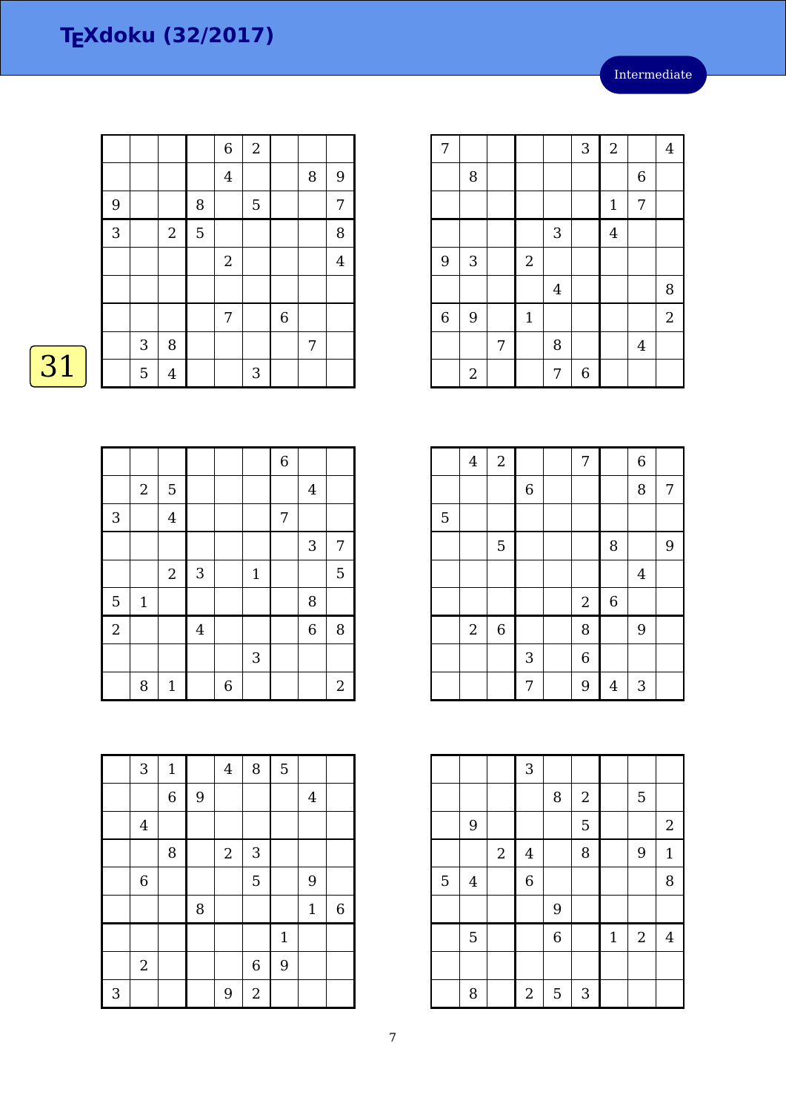|                |            |                |   | $\,$ 6 $\,$    | $\overline{2}$ |                  |   |                |
|----------------|------------|----------------|---|----------------|----------------|------------------|---|----------------|
|                |            |                |   | $\overline{4}$ |                |                  | 8 | 9              |
| 9              |            |                | 8 |                | 5              |                  |   | 7              |
| $\overline{3}$ |            | $\overline{2}$ | 5 |                |                |                  |   | 8              |
|                |            |                |   | $\mathbf{2}$   |                |                  |   | $\overline{4}$ |
|                |            |                |   |                |                |                  |   |                |
|                |            |                |   | 7              |                | $\boldsymbol{6}$ |   |                |
|                | $\sqrt{3}$ | 8              |   |                |                |                  | 7 |                |
|                | 5          | $\overline{4}$ |   |                | 3              |                  |   |                |

# $\boxed{31}$

|                |            |                |                |   |              | $\overline{6}$ |                |            |
|----------------|------------|----------------|----------------|---|--------------|----------------|----------------|------------|
|                | $\sqrt{2}$ | $\overline{5}$ |                |   |              |                | $\overline{4}$ |            |
| 3              |            | $\overline{4}$ |                |   |              | 7              |                |            |
|                |            |                |                |   |              |                | $\mathbf{3}$   | 7          |
|                |            | $\sqrt{2}$     | $\sqrt{3}$     |   | $\mathbf{1}$ |                |                | 5          |
| 5              | $1\,$      |                |                |   |              |                | 8              |            |
| $\overline{2}$ |            |                | $\overline{4}$ |   |              |                | $\overline{6}$ | 8          |
|                |            |                |                |   | 3            |                |                |            |
|                | 8          | $\mathbf{1}$   |                | 6 |              |                |                | $\sqrt{2}$ |

|   | 3              | $\mathbf 1$ |                | $\overline{4}$ | 8                | $\overline{5}$ |                |             |
|---|----------------|-------------|----------------|----------------|------------------|----------------|----------------|-------------|
|   |                | $\,$ 6 $\,$ | $\overline{9}$ |                |                  |                | $\overline{4}$ |             |
|   | $\overline{4}$ |             |                |                |                  |                |                |             |
|   |                | 8           |                | $\overline{2}$ | 3                |                |                |             |
|   | $\,6\,$        |             |                |                | 5                |                | 9              |             |
|   |                |             | 8              |                |                  |                | $\mathbf 1$    | $\,$ 6 $\,$ |
|   |                |             |                |                |                  | $\mathbf{1}$   |                |             |
|   | $\overline{2}$ |             |                |                | $\boldsymbol{6}$ | 9              |                |             |
| 3 |                |             |                | 9              | $\overline{c}$   |                |                |             |

| 7              |            |   |                |                | 3 | $\overline{2}$ |                  | $\overline{4}$ |
|----------------|------------|---|----------------|----------------|---|----------------|------------------|----------------|
|                | 8          |   |                |                |   |                | $\boldsymbol{6}$ |                |
|                |            |   |                |                |   | $1\,$          | 7                |                |
|                |            |   |                | 3              |   | $\overline{4}$ |                  |                |
| 9              | 3          |   | $\overline{2}$ |                |   |                |                  |                |
|                |            |   |                | $\overline{4}$ |   |                |                  | 8              |
| $\overline{6}$ | 9          |   | $\mathbf 1$    |                |   |                |                  | $\overline{2}$ |
|                |            | 7 |                | 8              |   |                | $\overline{4}$   |                |
|                | $\sqrt{2}$ |   |                | 7              | 6 |                |                  |                |

|   | $\overline{\mathbf{4}}$ | $\overline{\mathbf{c}}$ |             | 7              |             | $\overline{6}$ |   |
|---|-------------------------|-------------------------|-------------|----------------|-------------|----------------|---|
|   |                         |                         | $\,$ 6 $\,$ |                |             | 8              | 7 |
| 5 |                         |                         |             |                |             |                |   |
|   |                         | 5                       |             |                | 8           |                | 9 |
|   |                         |                         |             |                |             | $\overline{4}$ |   |
|   |                         |                         |             | $\overline{c}$ | $\,$ 6 $\,$ |                |   |
|   | $\boldsymbol{2}$        | $\,$ 6 $\,$             |             | 8              |             | 9              |   |
|   |                         |                         | $\sqrt{3}$  | 6              |             |                |   |
|   |                         |                         | 7           | 9              | 4           | 3              |   |

|   |         |                | 3              |                |            |             |            |                |
|---|---------|----------------|----------------|----------------|------------|-------------|------------|----------------|
|   |         |                |                | 8              | $\sqrt{2}$ |             | 5          |                |
|   | 9       |                |                |                | 5          |             |            | $\sqrt{2}$     |
|   |         | $\overline{2}$ | $\overline{4}$ |                | 8          |             | 9          | $\mathbf{1}$   |
| 5 | $\bf 4$ |                | $\overline{6}$ |                |            |             |            | 8              |
|   |         |                |                | 9              |            |             |            |                |
|   | 5       |                |                | $\overline{6}$ |            | $\mathbf 1$ | $\sqrt{2}$ | $\overline{4}$ |
|   |         |                |                |                |            |             |            |                |
|   | 8       |                | $\overline{2}$ | 5              | 3          |             |            |                |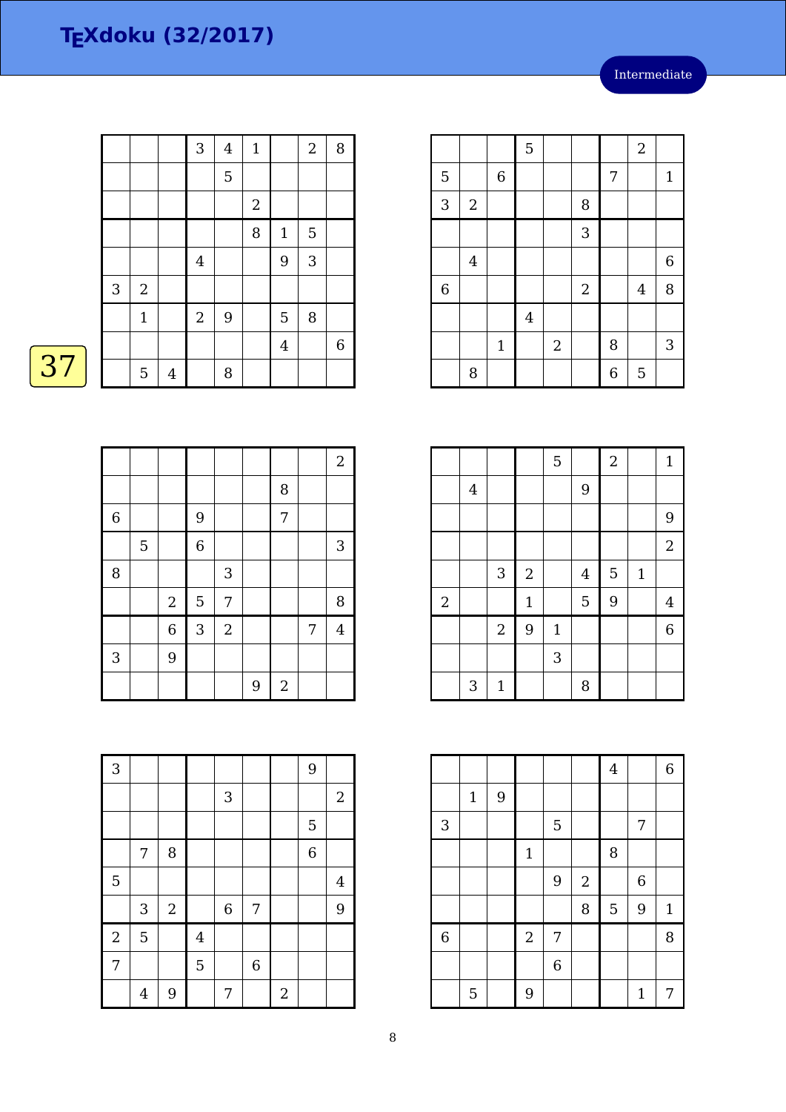|                           |                |                | 3                | $\bf 4$ | $\mathbf 1$ |                | $\boldsymbol{2}$ | $\, 8$      |
|---------------------------|----------------|----------------|------------------|---------|-------------|----------------|------------------|-------------|
|                           |                |                |                  | 5       |             |                |                  |             |
|                           |                |                |                  |         | $\sqrt{2}$  |                |                  |             |
|                           |                |                |                  |         | 8           | $\mathbf{1}$   | 5                |             |
|                           |                |                | $\overline{4}$   |         |             | 9              | 3                |             |
| $\ensuremath{\mathsf{3}}$ | $\sqrt{2}$     |                |                  |         |             |                |                  |             |
|                           | $\mathbf 1$    |                | $\boldsymbol{2}$ | 9       |             | 5              | 8                |             |
|                           |                |                |                  |         |             | $\overline{4}$ |                  | $\,$ 6 $\,$ |
|                           | $\overline{5}$ | $\overline{4}$ |                  | 8       |             |                |                  |             |

|                |                  |             | 5       |            |                  |   | $\overline{2}$ |              |
|----------------|------------------|-------------|---------|------------|------------------|---|----------------|--------------|
| $\overline{5}$ |                  | $\,6$       |         |            |                  | 7 |                | $\mathbf{1}$ |
| $\mathbf{3}$   | $\boldsymbol{2}$ |             |         |            | 8                |   |                |              |
|                |                  |             |         |            | 3                |   |                |              |
|                | $\overline{4}$   |             |         |            |                  |   |                | 6            |
| $\,6\,$        |                  |             |         |            | $\boldsymbol{2}$ |   | $\overline{4}$ | 8            |
|                |                  |             | $\bf 4$ |            |                  |   |                |              |
|                |                  | $\mathbf 1$ |         | $\sqrt{2}$ |                  | 8 |                | 3            |
|                | 8                |             |         |            |                  | 6 | 5              |              |

|                |                |             |              | 5           |                | $\overline{2}$ |              | $\mathbf{1}$   |
|----------------|----------------|-------------|--------------|-------------|----------------|----------------|--------------|----------------|
|                | $\overline{4}$ |             |              |             | 9              |                |              |                |
|                |                |             |              |             |                |                |              | 9              |
|                |                |             |              |             |                |                |              | $\sqrt{2}$     |
|                |                | $\sqrt{3}$  | $\sqrt{2}$   |             | $\overline{4}$ | 5              | $\mathbf{1}$ |                |
| $\overline{c}$ |                |             | $\mathbf{1}$ |             | 5              | 9              |              | $\overline{4}$ |
|                |                | $\sqrt{2}$  | 9            | $\mathbf 1$ |                |                |              | $\overline{6}$ |
|                |                |             |              | 3           |                |                |              |                |
|                | 3              | $\mathbf 1$ |              |             | 8              |                |              |                |

|                |             |                |             |                |            | $\boldsymbol{4}$ |              | 6            |
|----------------|-------------|----------------|-------------|----------------|------------|------------------|--------------|--------------|
|                | $\mathbf 1$ | $\overline{9}$ |             |                |            |                  |              |              |
| 3              |             |                |             | $\overline{5}$ |            |                  | 7            |              |
|                |             |                | $\mathbf 1$ |                |            | $\, 8$           |              |              |
|                |             |                |             | $\overline{9}$ | $\sqrt{2}$ |                  | 6            |              |
|                |             |                |             |                | 8          | 5                | 9            | $\mathbf{1}$ |
| $\overline{6}$ |             |                | $\sqrt{2}$  | 7              |            |                  |              | 8            |
|                |             |                |             | $\,$ 6 $\,$    |            |                  |              |              |
|                | 5           |                | 9           |                |            |                  | $\mathbf{1}$ | 7            |

|             |   |                |                |            |   |            |   | $\boldsymbol{2}$ |
|-------------|---|----------------|----------------|------------|---|------------|---|------------------|
|             |   |                |                |            |   | 8          |   |                  |
| $\,$ 6 $\,$ |   |                | 9              |            |   | 7          |   |                  |
|             | 5 |                | $\overline{6}$ |            |   |            |   | 3                |
| 8           |   |                |                | 3          |   |            |   |                  |
|             |   | $\overline{2}$ | 5              | 7          |   |            |   | 8                |
|             |   | $\overline{6}$ | $\mathbf{3}$   | $\sqrt{2}$ |   |            | 7 | 4                |
| 3           |   | 9              |                |            |   |            |   |                  |
|             |   |                |                |            | 9 | $\sqrt{2}$ |   |                  |

| $\overline{3}$ |                |            |                |                           |                |            | 9              |                |
|----------------|----------------|------------|----------------|---------------------------|----------------|------------|----------------|----------------|
|                |                |            |                | $\ensuremath{\mathsf{3}}$ |                |            |                | $\sqrt{2}$     |
|                |                |            |                |                           |                |            | 5              |                |
|                | 7              | 8          |                |                           |                |            | $\overline{6}$ |                |
| 5              |                |            |                |                           |                |            |                | $\overline{4}$ |
|                | 3              | $\sqrt{2}$ |                | $\boldsymbol{6}$          | 7              |            |                | 9              |
| $\sqrt{2}$     | 5              |            | $\overline{4}$ |                           |                |            |                |                |
| 7              |                |            | 5              |                           | $\overline{6}$ |            |                |                |
|                | $\overline{4}$ | 9          |                | 7                         |                | $\sqrt{2}$ |                |                |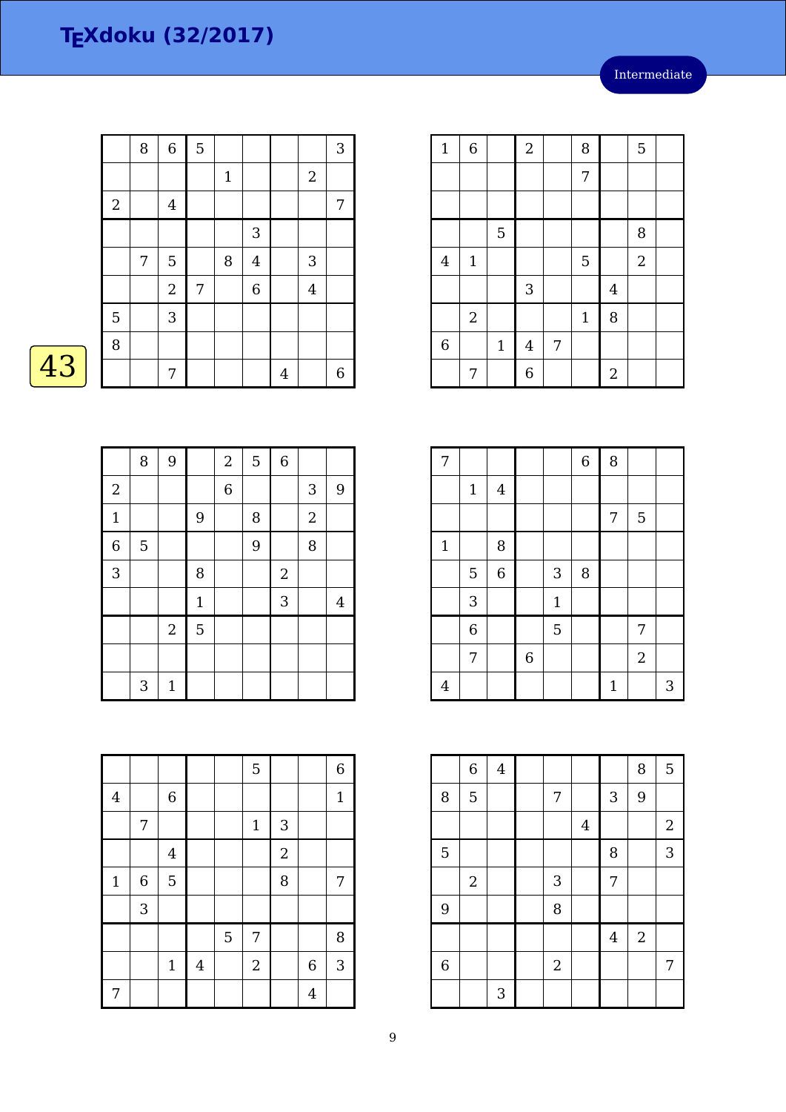|    |       | 8 | $\,6\,$        | 5 |              |             |                |                | $\sqrt{3}$ |
|----|-------|---|----------------|---|--------------|-------------|----------------|----------------|------------|
|    |       |   |                |   | $\mathbf{1}$ |             |                | $\overline{2}$ |            |
|    | $2\,$ |   | $\overline{4}$ |   |              |             |                |                | 7          |
|    |       |   |                |   |              | $\sqrt{3}$  |                |                |            |
|    |       | 7 | $\overline{5}$ |   | 8            | $\bf 4$     |                | 3              |            |
|    |       |   | $\mathbf{2}$   | 7 |              | $\,$ 6 $\,$ |                | $\overline{4}$ |            |
|    | 5     |   | $\sqrt{3}$     |   |              |             |                |                |            |
|    | 8     |   |                |   |              |             |                |                |            |
| 43 |       |   | 7              |   |              |             | $\overline{4}$ |                | $\,6\,$    |

| Λ |  |
|---|--|
|   |  |

|                  | 8 | 9            |              | $\sqrt{2}$     | $\overline{5}$ | $\overline{6}$ |            |   |
|------------------|---|--------------|--------------|----------------|----------------|----------------|------------|---|
| $\boldsymbol{2}$ |   |              |              | $\overline{6}$ |                |                | 3          | 9 |
| $\mathbf{1}$     |   |              | 9            |                | 8              |                | $\sqrt{2}$ |   |
| $\overline{6}$   | 5 |              |              |                | 9              |                | 8          |   |
| 3                |   |              | 8            |                |                | $\overline{2}$ |            |   |
|                  |   |              | $\mathbf{1}$ |                |                | 3              |            | 4 |
|                  |   | $\sqrt{2}$   | 5            |                |                |                |            |   |
|                  |   |              |              |                |                |                |            |   |
|                  | 3 | $\mathbf{1}$ |              |                |                |                |            |   |

|              |                  |                |                |   | $\overline{5}$   |                |                | $\overline{6}$ |
|--------------|------------------|----------------|----------------|---|------------------|----------------|----------------|----------------|
| $\bf 4$      |                  | $\,$ 6 $\,$    |                |   |                  |                |                | $\mathbf{1}$   |
|              | 7                |                |                |   | $\mathbf 1$      | 3              |                |                |
|              |                  | $\overline{4}$ |                |   |                  | $\overline{c}$ |                |                |
| $\mathbf{1}$ | $\boldsymbol{6}$ | 5              |                |   |                  | 8              |                | 7              |
|              | 3                |                |                |   |                  |                |                |                |
|              |                  |                |                | 5 | 7                |                |                | 8              |
|              |                  | $\mathbf 1$    | $\overline{4}$ |   | $\boldsymbol{2}$ |                | 6              | 3              |
| 7            |                  |                |                |   |                  |                | $\overline{4}$ |                |

| $\mathbf{1}$            | $\,$ 6 $\,$    |                | $\sqrt{2}$     |   | 8            |                | 5                |  |
|-------------------------|----------------|----------------|----------------|---|--------------|----------------|------------------|--|
|                         |                |                |                |   | 7            |                |                  |  |
|                         |                |                |                |   |              |                |                  |  |
|                         |                | $\overline{5}$ |                |   |              |                | 8                |  |
| $\overline{\mathbf{4}}$ | $1\,$          |                |                |   | 5            |                | $\boldsymbol{2}$ |  |
|                         |                |                | $\mathbf{3}$   |   |              | $\bf 4$        |                  |  |
|                         | $\overline{2}$ |                |                |   | $\mathbf{1}$ | 8              |                  |  |
| $\overline{6}$          |                | $\mathbf 1$    | $\overline{4}$ | 7 |              |                |                  |  |
|                         | 7              |                | 6              |   |              | $\overline{c}$ |                  |  |

| 7              |                |             |             |              | $\,$ 6 $\,$ | 8           |                |   |
|----------------|----------------|-------------|-------------|--------------|-------------|-------------|----------------|---|
|                | $1\,$          | $\bf 4$     |             |              |             |             |                |   |
|                |                |             |             |              |             | 7           | 5              |   |
| $\mathbf{1}$   |                | 8           |             |              |             |             |                |   |
|                | 5              | $\,$ 6 $\,$ |             | $\sqrt{3}$   | 8           |             |                |   |
|                | 3              |             |             | $\mathbf{1}$ |             |             |                |   |
|                | $\overline{6}$ |             |             | 5            |             |             | 7              |   |
|                | 7              |             | $\,$ 6 $\,$ |              |             |             | $\overline{2}$ |   |
| $\overline{4}$ |                |             |             |              |             | $\mathbf 1$ |                | 3 |

|                | $\,6\,$        | $\bf 4$ |                  |                |                | 8          | 5                |
|----------------|----------------|---------|------------------|----------------|----------------|------------|------------------|
| 8              | 5              |         | 7                |                | 3              | 9          |                  |
|                |                |         |                  | $\overline{4}$ |                |            | $\boldsymbol{2}$ |
| $\overline{5}$ |                |         |                  |                | 8              |            | 3                |
|                | $\overline{2}$ |         | 3                |                | 7              |            |                  |
| 9              |                |         | 8                |                |                |            |                  |
|                |                |         |                  |                | $\overline{4}$ | $\sqrt{2}$ |                  |
| 6              |                |         | $\boldsymbol{2}$ |                |                |            | 7                |
|                |                | 3       |                  |                |                |            |                  |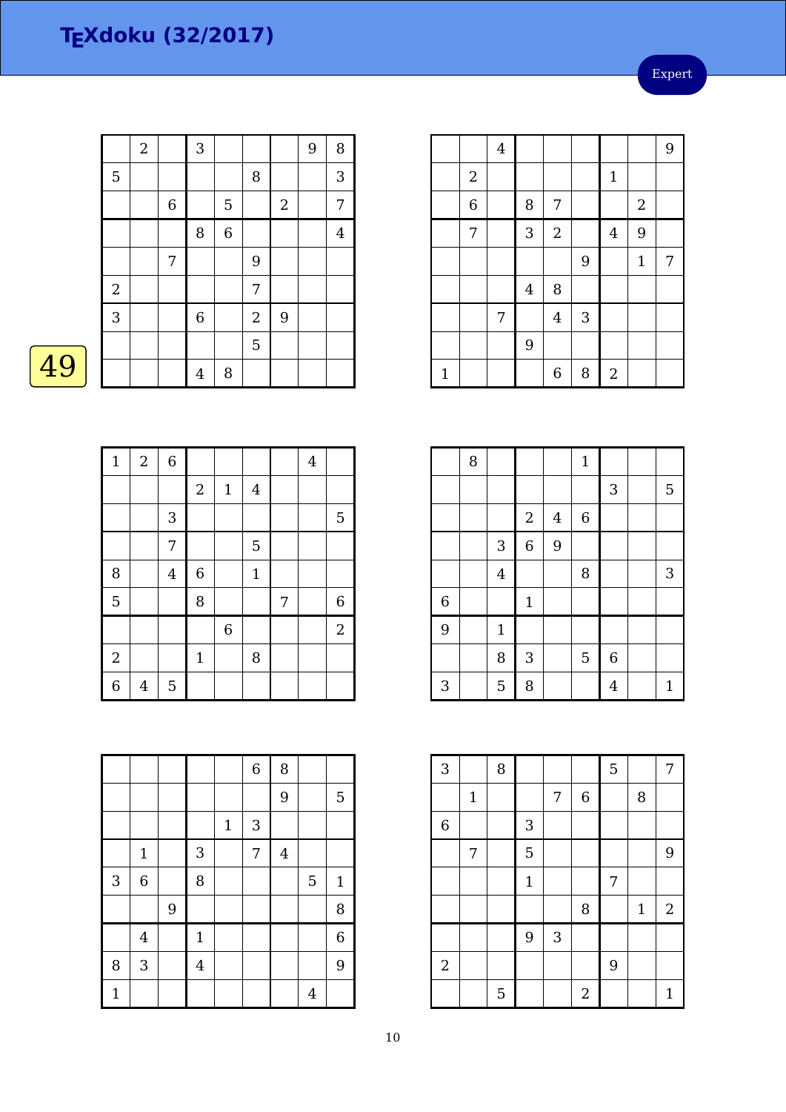Expert

|    |            | $\mathbf{2}$ |             | 3              |         |                |                | 9 | $\, 8$  |
|----|------------|--------------|-------------|----------------|---------|----------------|----------------|---|---------|
|    | 5          |              |             |                |         | 8              |                |   | 3       |
|    |            |              | $\,$ 6 $\,$ |                | 5       |                | $\overline{2}$ |   | 7       |
|    |            |              |             | 8              | $\,6\,$ |                |                |   | $\bf 4$ |
|    |            |              | 7           |                |         | 9              |                |   |         |
|    | $\sqrt{2}$ |              |             |                |         | 7              |                |   |         |
|    | 3          |              |             | 6              |         | $\overline{2}$ | 9              |   |         |
|    |            |              |             |                |         | 5              |                |   |         |
| 49 |            |              |             | $\overline{4}$ | $\, 8$  |                |                |   |         |

| $\mathbf{1}$   | $\overline{2}$ | $\overline{6}$ |              |                  |              |   | $\bf 4$ |                |
|----------------|----------------|----------------|--------------|------------------|--------------|---|---------|----------------|
|                |                |                | $\sqrt{2}$   | $\mathbf{1}$     | $\bf 4$      |   |         |                |
|                |                | 3              |              |                  |              |   |         | $\mathbf 5$    |
|                |                | 7              |              |                  | 5            |   |         |                |
| 8              |                | $\overline{4}$ | $\,6$        |                  | $\mathbf{1}$ |   |         |                |
| $\overline{5}$ |                |                | 8            |                  |              | 7 |         | $\,$ 6 $\,$    |
|                |                |                |              | $\boldsymbol{6}$ |              |   |         | $\overline{2}$ |
| $\overline{c}$ |                |                | $\mathbf{1}$ |                  | 8            |   |         |                |
| $\overline{6}$ | 4              | $\mathbf 5$    |              |                  |              |   |         |                |

|              |                |   |                |             | $\overline{6}$ | 8              |                |                  |
|--------------|----------------|---|----------------|-------------|----------------|----------------|----------------|------------------|
|              |                |   |                |             |                | 9              |                | 5                |
|              |                |   |                | $\mathbf 1$ | 3              |                |                |                  |
|              | $\mathbf 1$    |   | 3              |             | 7              | $\overline{4}$ |                |                  |
| 3            | $\overline{6}$ |   | 8              |             |                |                | 5              | $\mathbf{1}$     |
|              |                | 9 |                |             |                |                |                | 8                |
|              | $\overline{4}$ |   | $\mathbf{1}$   |             |                |                |                | $\boldsymbol{6}$ |
| 8            | 3              |   | $\overline{4}$ |             |                |                |                | 9                |
| $\mathbf{1}$ |                |   |                |             |                |                | $\overline{4}$ |                  |

|              |                  | $\overline{4}$ |         |                |            |                  |              | 9 |
|--------------|------------------|----------------|---------|----------------|------------|------------------|--------------|---|
|              | $\boldsymbol{2}$ |                |         |                |            | $\mathbf 1$      |              |   |
|              | $\overline{6}$   |                | 8       | $\overline{7}$ |            |                  | $\sqrt{2}$   |   |
|              | 7                |                | 3       | $\sqrt{2}$     |            | $\overline{4}$   | 9            |   |
|              |                  |                |         |                | 9          |                  | $\mathbf{1}$ | 7 |
|              |                  |                | $\bf 4$ | 8              |            |                  |              |   |
|              |                  | 7              |         | $\overline{4}$ | $\sqrt{3}$ |                  |              |   |
|              |                  |                | 9       |                |            |                  |              |   |
| $\mathbf{1}$ |                  |                |         | $\overline{6}$ | 8          | $\boldsymbol{2}$ |              |   |

|                | 8 |                |              |                | $\mathbf{1}$ |                  |              |
|----------------|---|----------------|--------------|----------------|--------------|------------------|--------------|
|                |   |                |              |                |              | 3                | 5            |
|                |   |                | $\sqrt{2}$   | $\overline{4}$ | 6            |                  |              |
|                |   | $\sqrt{3}$     | $\,$ 6 $\,$  | 9              |              |                  |              |
|                |   | $\overline{4}$ |              |                | 8            |                  | 3            |
| $\overline{6}$ |   |                | $\mathbf 1$  |                |              |                  |              |
| 9              |   | $\mathbf{1}$   |              |                |              |                  |              |
|                |   | 8              | $\mathbf{3}$ |                | 5            | $\boldsymbol{6}$ |              |
| 3              |   | 5              | 8            |                |              | $\overline{4}$   | $\mathbf{1}$ |

| 3          |       | 8 |              |            |                | 5 |              | 7                |
|------------|-------|---|--------------|------------|----------------|---|--------------|------------------|
|            | $1\,$ |   |              | 7          | $\,$ 6 $\,$    |   | 8            |                  |
| 6          |       |   | 3            |            |                |   |              |                  |
|            | 7     |   | 5            |            |                |   |              | 9                |
|            |       |   | $\mathbf{1}$ |            |                | 7 |              |                  |
|            |       |   |              |            | 8              |   | $\mathbf{1}$ | $\boldsymbol{2}$ |
|            |       |   | 9            | $\sqrt{3}$ |                |   |              |                  |
| $\sqrt{2}$ |       |   |              |            |                | 9 |              |                  |
|            |       | 5 |              |            | $\overline{2}$ |   |              | 1                |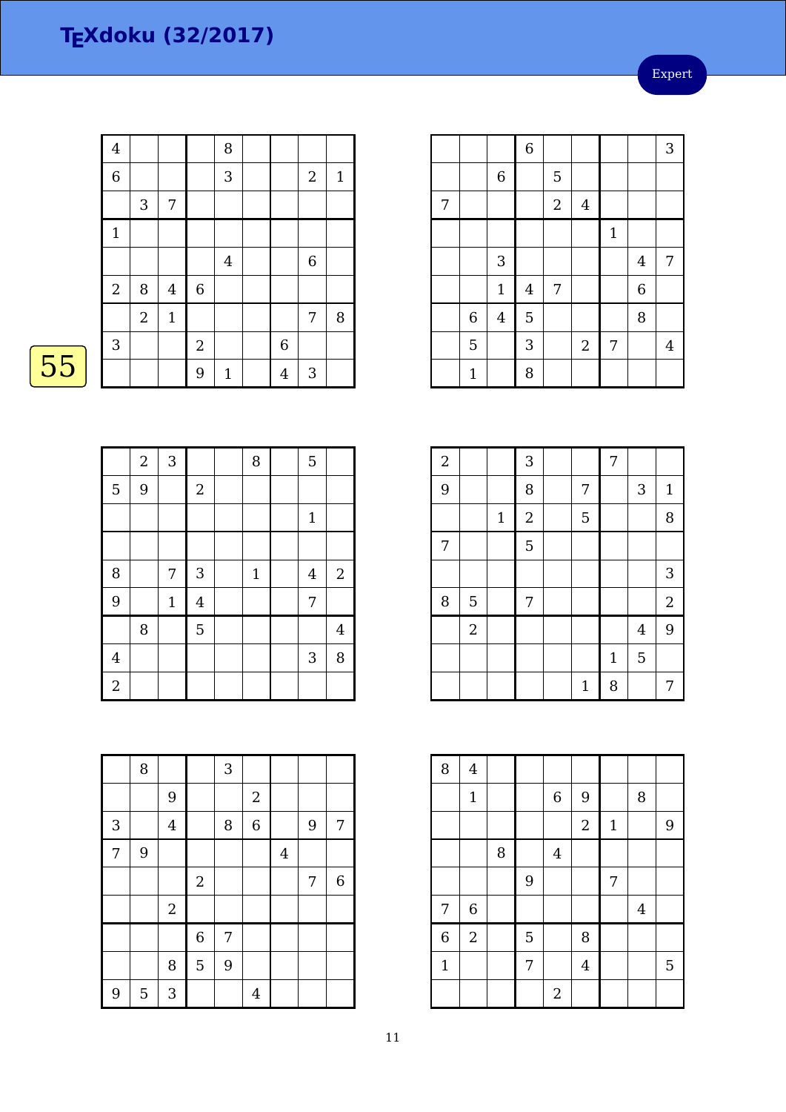Expert

|    | $\overline{4}$ |                |                  |             | 8            |         |              |              |
|----|----------------|----------------|------------------|-------------|--------------|---------|--------------|--------------|
|    | $\overline{6}$ |                |                  |             | 3            |         | $\mathbf{2}$ | $\mathbf{1}$ |
|    |                | $\mathbf{3}$   | 7                |             |              |         |              |              |
|    | $\mathbf{1}$   |                |                  |             |              |         |              |              |
|    |                |                |                  |             | $\,4\,$      |         | $\,$ 6 $\,$  |              |
|    | $2\,$          | 8              | $\boldsymbol{4}$ | $\,$ 6 $\,$ |              |         |              |              |
|    |                | $\overline{2}$ | $\mathbf{1}$     |             |              |         | 7            | 8            |
|    | 3              |                |                  | $\sqrt{2}$  |              | 6       |              |              |
| 55 |                |                |                  | 9           | $\mathbf{1}$ | $\bf 4$ | $\sqrt{3}$   |              |
|    |                |                |                  |             |              |         |              |              |

|                | $\overline{a}$ | $\mathbf{3}$ |                | 8            | $\overline{5}$ |                |
|----------------|----------------|--------------|----------------|--------------|----------------|----------------|
| 5              | 9              |              | $\sqrt{2}$     |              |                |                |
|                |                |              |                |              | $1\,$          |                |
|                |                |              |                |              |                |                |
| 8              |                | 7            | $\mathbf{3}$   | $\mathbf{1}$ | $\overline{4}$ | $\mathbf{2}$   |
| 9              |                | $\mathbf{1}$ | $\overline{4}$ |              | 7              |                |
|                | 8              |              | 5              |              |                | $\overline{4}$ |
| $\overline{4}$ |                |              |                |              | $\mathbf{3}$   | 8              |
| $\overline{a}$ |                |              |                |              |                |                |

|   |              |              | $\overline{6}$ |            |                |             |                | 3              |
|---|--------------|--------------|----------------|------------|----------------|-------------|----------------|----------------|
|   |              | $\,$ 6 $\,$  |                | 5          |                |             |                |                |
| 7 |              |              |                | $\sqrt{2}$ | $\overline{4}$ |             |                |                |
|   |              |              |                |            |                | $\mathbf 1$ |                |                |
|   |              | 3            |                |            |                |             | $\overline{4}$ | 7              |
|   |              | $\mathbf{1}$ | $\bf 4$        | 7          |                |             | $\overline{6}$ |                |
|   | $\,$ 6 $\,$  | $\bf 4$      | 5              |            |                |             | $\, 8$         |                |
|   | 5            |              | 3              |            | $\sqrt{2}$     | 7           |                | $\overline{4}$ |
|   | $\mathbf{1}$ |              | 8              |            |                |             |                |                |

| $\overline{a}$ |            |             | 3              |              | $\overline{7}$ |                |              |
|----------------|------------|-------------|----------------|--------------|----------------|----------------|--------------|
| 9              |            |             | 8              | 7            |                | 3              | $\mathbf{1}$ |
|                |            | $\mathbf 1$ | $\overline{2}$ | 5            |                |                | 8            |
| $\overline{7}$ |            |             | $\overline{5}$ |              |                |                |              |
|                |            |             |                |              |                |                | 3            |
| 8              | 5          |             | $\overline{7}$ |              |                |                | $\sqrt{2}$   |
|                | $\sqrt{2}$ |             |                |              |                | $\overline{4}$ | 9            |
|                |            |             |                |              | $\mathbf{1}$   | 5              |              |
|                |            |             |                | $\mathbf{1}$ | 8              |                | 7            |

| 8              | $\overline{\mathbf{4}}$ |   |   |                |                |              |                |   |
|----------------|-------------------------|---|---|----------------|----------------|--------------|----------------|---|
|                | $\mathbf 1$             |   |   | $\,$ 6 $\,$    | 9              |              | 8              |   |
|                |                         |   |   |                | $\overline{2}$ | $\mathbf{1}$ |                | 9 |
|                |                         | 8 |   | $\overline{4}$ |                |              |                |   |
|                |                         |   | 9 |                |                | 7            |                |   |
| 7              | $\,$ 6 $\,$             |   |   |                |                |              | $\overline{4}$ |   |
| $\overline{6}$ | $\sqrt{2}$              |   | 5 |                | 8              |              |                |   |
| $\mathbf{1}$   |                         |   | 7 |                | $\overline{4}$ |              |                | 5 |
|                |                         |   |   | $\overline{2}$ |                |              |                |   |

|                | 8 |                |                | 3 |                |                |   |                  |
|----------------|---|----------------|----------------|---|----------------|----------------|---|------------------|
|                |   | 9              |                |   | $\overline{c}$ |                |   |                  |
| 3              |   | $\overline{4}$ |                | 8 | $\overline{6}$ |                | 9 | 7                |
| $\overline{7}$ | 9 |                |                |   |                | $\overline{4}$ |   |                  |
|                |   |                | $\overline{2}$ |   |                |                | 7 | $\boldsymbol{6}$ |
|                |   | $\sqrt{2}$     |                |   |                |                |   |                  |
|                |   |                | 6              | 7 |                |                |   |                  |
|                |   | 8              | 5              | 9 |                |                |   |                  |
| 9              | 5 | 3              |                |   | $\overline{4}$ |                |   |                  |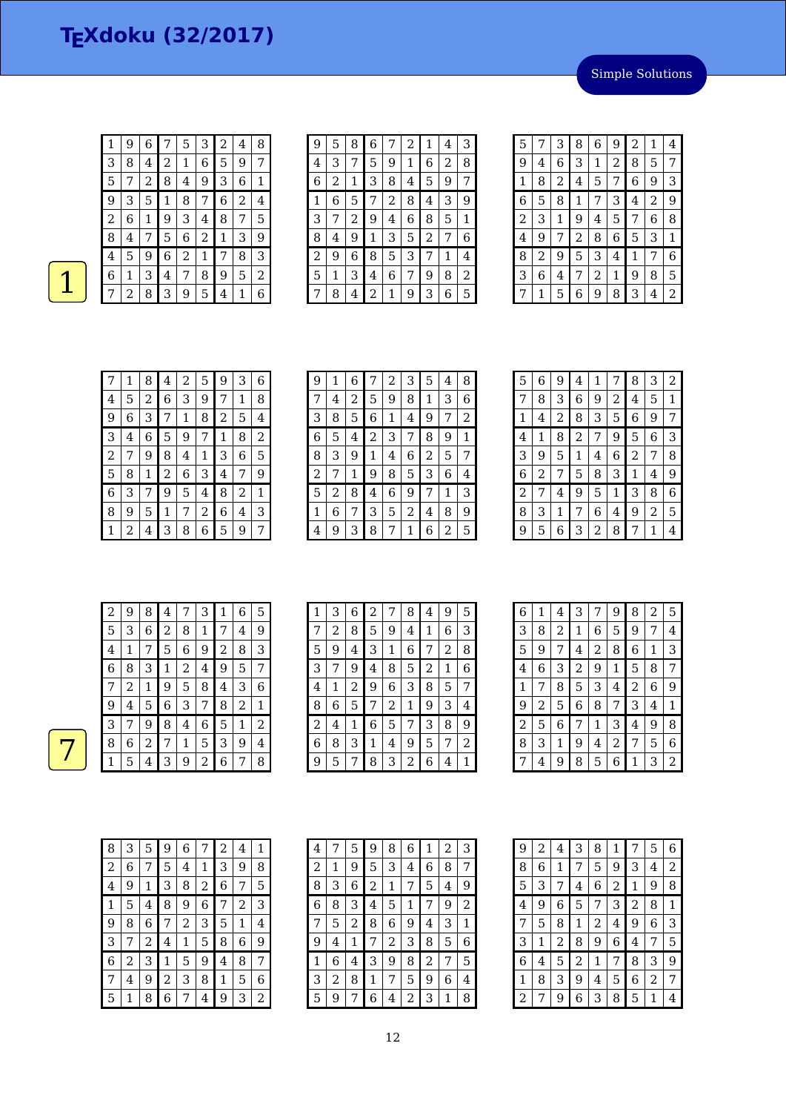$1 \mid 9 \mid 6 \mid 7 \mid 5 \mid 3 \mid 2 \mid 4 \mid 8$ 3 | 8 | 4 | 2 | 1 | 6 | 5 | 9 | 7 Simple Solutions

| 5 |   | 2 | 8 | 4 | 9 | 3            | 6 | 1              |
|---|---|---|---|---|---|--------------|---|----------------|
| Ч | З | 5 |   | 8 |   | 6            | 2 | 4              |
| 2 | 6 |   | 9 | 3 | 4 | 8            |   | 5              |
| 8 | 4 |   | 5 | 6 | 2 | $\mathbf{1}$ | 3 | 9              |
| 4 | 5 | 9 | 6 | 2 |   |              | 8 | 3              |
| 6 |   | 3 | 4 |   | 8 | 9            | 5 | $\overline{2}$ |
|   | 2 | 8 | 3 | 9 | 5 | 4            | 1 | 6              |

| 9 | 5 | 8 | 6 | 7 | 2 | 1 | 4 | З |
|---|---|---|---|---|---|---|---|---|
| 4 | З | 7 | 5 | 9 | 1 | 6 | 2 | 8 |
| 6 | 2 | 1 | З | 8 | 4 | 5 | 9 | 7 |
| 1 | 6 | 5 | 7 | 2 | 8 | 4 | 3 | 9 |
| 3 | 7 | 2 | 9 | 4 | 6 | 8 | 5 | 1 |
| 8 | 4 | 9 | 1 | 3 | 5 | 2 | 7 | 6 |
| 2 | 9 | 6 | 8 | 5 | 3 | 7 | 1 | 4 |
| 5 | 1 | З | 4 | 6 | 7 | 9 | 8 | 2 |
|   | 8 | 4 | 2 | 1 | 9 | 3 | 6 | 5 |

| 5              |   | 3 | 8           | 6              | 9 | 2 | 1              | 4 |
|----------------|---|---|-------------|----------------|---|---|----------------|---|
| 9              | 4 | 6 | 3           | 1              | 2 | 8 | 5              | 7 |
| $\mathbf{1}$   | 8 | 2 | 4           | 5              | 7 | 6 | 9              | 3 |
| 6              | 5 | 8 | $\mathbf 1$ | 7              | 3 | 4 | $\overline{2}$ | 9 |
| $\overline{2}$ | 3 | 1 | 9           | 4              | 5 | 7 | 6              | 8 |
| 4              | 9 | 7 | 2           | 8              | 6 | 5 | 3              | 1 |
| 8              | 2 | 9 | 5           | 3              | 4 | 1 | 7              | 6 |
| 3              | 6 | 4 | 7           | $\overline{2}$ | 1 | 9 | 8              | 5 |
| 7              | 1 | 5 | 6           | 9              | 8 | 3 | 4              | 2 |

| 7              | 1 | 8 | 4 | 2 | 5 | 9 | 3 | 6 |
|----------------|---|---|---|---|---|---|---|---|
| 4              | 5 | 2 | 6 | 3 | 9 | 7 | 1 | 8 |
| 9              | 6 | 3 | 7 | 1 | 8 | 2 | 5 | 4 |
| 3              | 4 | 6 | 5 | 9 | 7 | 1 | 8 | 2 |
| $\overline{c}$ | 7 | 9 | 8 | 4 | 1 | 3 | 6 | 5 |
| 5              | 8 | 1 | 2 | 6 | 3 | 4 | 7 | 9 |
| 6              | 3 | 7 | 9 | 5 | 4 | 8 | 2 | 1 |
| 8              | 9 | 5 | 1 | 7 | 2 | 6 | 4 | 3 |
| 1              | 2 | 4 | 3 | 8 | 6 | 5 | 9 | 7 |

| 9              | 1 | 6 |   | 2 | 3 | 5 | 4 | 8 |
|----------------|---|---|---|---|---|---|---|---|
| 7              | 4 | 2 | 5 | 9 | 8 | 1 | 3 | 6 |
| 3              | 8 | 5 | 6 | 1 | 4 | 9 | 7 | 2 |
| 6              | 5 | 4 | 2 | 3 | 7 | 8 | 9 | 1 |
| 8              | 3 | 9 | 1 | 4 | 6 | 2 | 5 | 7 |
| $\overline{c}$ | 7 | 1 | 9 | 8 | 5 | 3 | 6 | 4 |
| 5              | 2 | 8 | 4 | 6 | 9 | 7 | 1 | 3 |
| 1              | 6 | 7 | 3 | 5 | 2 | 4 | 8 | 9 |
| 4              | 9 | 3 | 8 | 7 | 1 | 6 | 2 | 5 |

| 6 | 9 | 4              | 1 | 7 | 8              | 3 | 2 |
|---|---|----------------|---|---|----------------|---|---|
| 8 | 3 | 6              | 9 | 2 | 4              | 5 | 1 |
| 4 | 2 | 8              | 3 | 5 | 6              | 9 | 7 |
| 1 | 8 | $\overline{c}$ | 7 | 9 | 5              | 6 | 3 |
| 9 | 5 | 1              | 4 | 6 | $\overline{c}$ | 7 | 8 |
| 2 | 7 | 5              | 8 | 3 | 1              | 4 | 9 |
| 7 | 4 | 9              | 5 | 1 | 3              | 8 | 6 |
| 3 | 1 | 7              | 6 | 4 | 9              | 2 | 5 |
| 5 | 6 | 3              | 2 | 8 | 7              | 1 | 4 |
|   |   |                |   |   |                |   |   |

| 2              | 9 | 8 | 4              | 7           | 3              | 1              | 6 | 5 |
|----------------|---|---|----------------|-------------|----------------|----------------|---|---|
| 5              | 3 | 6 | $\overline{2}$ | 8           | $\mathbf 1$    | 7              | 4 | 9 |
| $\overline{4}$ | 1 | 7 | 5              | 6           | 9              | $\overline{2}$ | 8 | 3 |
| 6              | 8 | 3 | 1              | 2           | 4              | 9              | 5 | 7 |
| 7              | 2 | 1 | 9              | 5           | 8              | 4              | 3 | 6 |
| 9              | 4 | 5 | 6              | 3           | 7              | 8              | 2 | 1 |
| 3              | 7 | 9 | 8              | 4           | 6              | 5              | 1 | 2 |
| 8              | 6 | 2 | 7              | $\mathbf 1$ | 5              | 3              | 9 | 4 |
| 1              | 5 | 4 | 3              | 9           | $\overline{c}$ | 6              | 7 | 8 |

| 1              | З | 6 | 2 | 7              | 8 | 4 | 9 | 5 |
|----------------|---|---|---|----------------|---|---|---|---|
| 7              | 2 | 8 | 5 | 9              | 4 | 1 | 6 | 3 |
| 5              | 9 | 4 | 3 | 1              | 6 | 7 | 2 | 8 |
| 3              | 7 | 9 | 4 | 8              | 5 | 2 | 1 | 6 |
| 4              | 1 | 2 | 9 | 6              | 3 | 8 | 5 | 7 |
| 8              | 6 | 5 | 7 | 2              | 1 | 9 | 3 | 4 |
| $\overline{c}$ | 4 | 1 | 6 | 5              | 7 | 3 | 8 | 9 |
| 6              | 8 | 3 | 1 | $\overline{4}$ | 9 | 5 | 7 | 2 |
| 9              | 5 | 7 | 8 | 3              | 2 | 6 | 4 | 1 |

| 6 | 1 | 4 | 3              | 7 | 9              | 8 | 2 | 5 |
|---|---|---|----------------|---|----------------|---|---|---|
| 3 | 8 | 2 | 1              | 6 | 5              | 9 | 7 | 4 |
| 5 | 9 | 7 | 4              | 2 | 8              | 6 | 1 | 3 |
| 4 | 6 | З | $\overline{a}$ | 9 | 1              | 5 | 8 | 7 |
| 1 | 7 | 8 | 5              | 3 | 4              | 2 | 6 | 9 |
| 9 | 2 | 5 | 6              | 8 | 7              | 3 | 4 | 1 |
| 2 | 5 | 6 | 7              | 1 | 3              | 4 | 9 | 8 |
| 8 | 3 | 1 | 9              | 4 | $\overline{2}$ | 7 | 5 | 6 |
| 7 | 4 | 9 | 8              | 5 | 6              | 1 | 3 | 2 |

| 8 | 3 | 5 | 9 | 6              | 7 | 2 | 4 | 1 |
|---|---|---|---|----------------|---|---|---|---|
| 2 | 6 | 7 | 5 | 4              | 1 | 3 | 9 | 8 |
| 4 | 9 | 1 | 3 | 8              | 2 | 6 | 7 | 5 |
| 1 | 5 | 4 | 8 | 9              | 6 | 7 | 2 | 3 |
| 9 | 8 | 6 | 7 | $\overline{2}$ | 3 | 5 | 1 | 4 |
| 3 | 7 | 2 | 4 | 1              | 5 | 8 | 6 | 9 |
| 6 | 2 | 3 | 1 | 5              | 9 | 4 | 8 | 7 |
| 7 | 4 | 9 | 2 | 3              | 8 | 1 | 5 | 6 |
| 5 | 1 | 8 | 6 | 7              | 4 | 9 | 3 | 2 |

| 4 | 7 | 5 | 9 | 8 | 6 | 1              | 2 | З              |
|---|---|---|---|---|---|----------------|---|----------------|
| 2 | 1 | 9 | 5 | 3 | 4 | 6              | 8 | 7              |
| 8 | 3 | 6 | 2 | 1 | 7 | 5              | 4 | 9              |
| 6 | 8 | 3 | 4 | 5 | 1 | 7              | 9 | $\overline{c}$ |
| 7 | 5 | 2 | 8 | 6 | 9 | 4              | 3 | 1              |
| 9 | 4 | 1 | 7 | 2 | 3 | 8              | 5 | 6              |
| 1 | 6 | 4 | 3 | 9 | 8 | $\overline{c}$ | 7 | 5              |
| 3 | 2 | 8 | 1 | 7 | 5 | 9              | 6 | 4              |
| 5 | 9 | 7 | 6 | 4 | 2 | 3              | 1 | 8              |

| 9 | $\overline{\mathbf{c}}$ | 4 | 3              | 8 | 1              | 7              | 5              | 6              |
|---|-------------------------|---|----------------|---|----------------|----------------|----------------|----------------|
| 8 | 6                       | 1 | 7              | 5 | 9              | 3              | 4              | $\overline{c}$ |
| 5 | 3                       | 7 | 4              | 6 | $\overline{c}$ | 1              | 9              | 8              |
| 4 | 9                       | 6 | 5              | 7 | 3              | $\overline{c}$ | 8              | 1              |
| 7 | 5                       | 8 | 1              | 2 | 4              | 9              | 6              | 3              |
| 3 | 1                       | 2 | 8              | 9 | 6              | 4              | 7              | 5              |
| 6 | 4                       | 5 | $\overline{c}$ | 1 | 7              | 8              | 3              | 9              |
| 1 | 8                       | 3 | 9              | 4 | 5              | 6              | $\overline{2}$ | 7              |
| 2 | 7                       | 9 | 6              | 3 | 8              | 5              | 1              | 4              |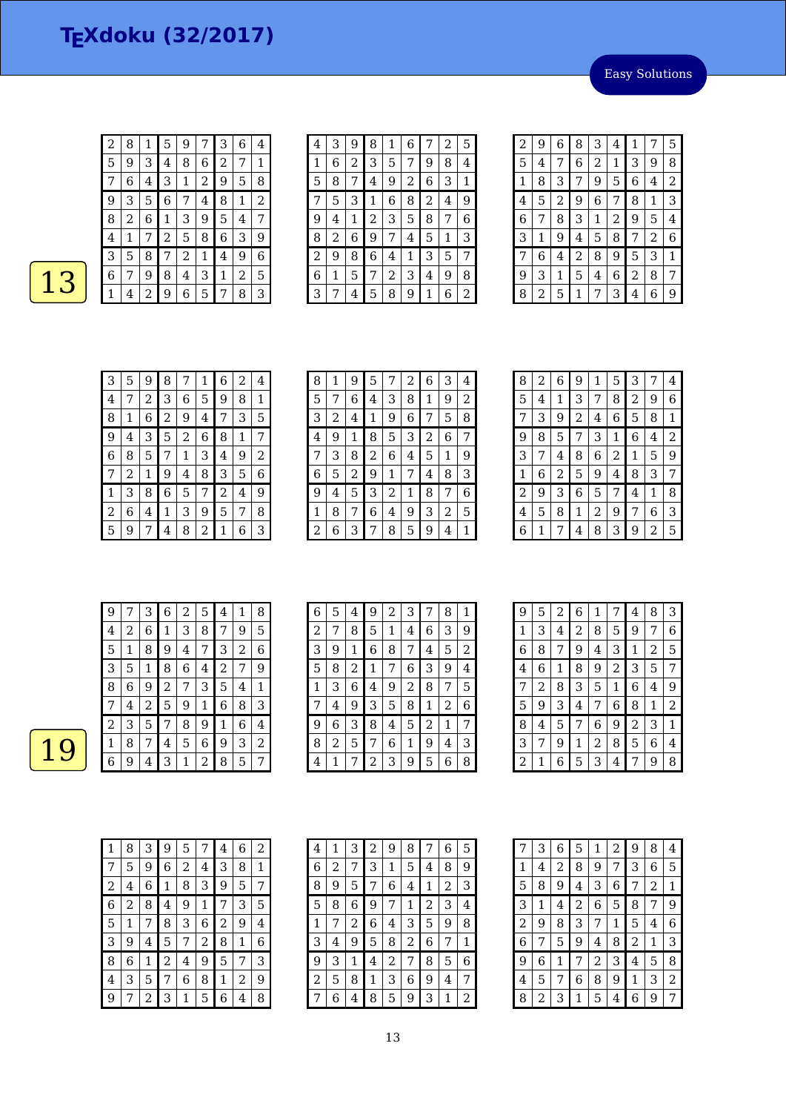Easy Solutions

| 5 | 9 | 3 | 4 | 8 | 6 | 2 |   |   |
|---|---|---|---|---|---|---|---|---|
|   | 6 | 4 | З | 1 | 2 | 9 | 5 | 8 |
| 9 | 3 | 5 | 6 |   | 4 | 8 | 1 | 2 |
| 8 | 2 | 6 | 1 | З | 9 | 5 | 4 | 7 |
| 4 | 1 | 7 | 2 | 5 | 8 | 6 | 3 | 9 |
| 3 | 5 | 8 |   | 2 | 1 | 4 | 9 | 6 |
| 6 |   | 9 | 8 | 4 | 3 | 1 | 2 | 5 |
|   | 4 | 2 | 9 | 6 | 5 | 7 | 8 | 3 |
|   |   |   |   |   |   |   |   |   |

2 | 8 | 1 | 5 | 9 | 7 | 3 | 6 | 4

| 4 | З | 9 | 8 | 1 | 6 |   | 2 | 5 |
|---|---|---|---|---|---|---|---|---|
| 1 | 6 | 2 | 3 | 5 | 7 | 9 | 8 | 4 |
| 5 | 8 | 7 | 4 | 9 | 2 | 6 | 3 | 1 |
| 7 | 5 | 3 | 1 | 6 | 8 | 2 | 4 | 9 |
| 9 | 4 | 1 | 2 | 3 | 5 | 8 | 7 | 6 |
| 8 | 2 | 6 | 9 | 7 | 4 | 5 | 1 | З |
| 2 | 9 | 8 | 6 | 4 | 1 | З | 5 | 7 |
| 6 | 1 | 5 | 7 | 2 | З | 4 | 9 | 8 |
| З | 7 | 4 | 5 | 8 | 9 | 1 | 6 | 2 |

| 2 | 9 | 6 | 8              | 3 | 4 | 1 | 7 | 5 |
|---|---|---|----------------|---|---|---|---|---|
| 5 | 4 | 7 | 6              | 2 | 1 | 3 | 9 | 8 |
| 1 | 8 | 3 | 7              | 9 | 5 | 6 | 4 | 2 |
| 4 | 5 | 2 | 9              | 6 | 7 | 8 | 1 | 3 |
| 6 | 7 | 8 | 3              | 1 | 2 | 9 | 5 | 4 |
| 3 | 1 | 9 | 4              | 5 | 8 | 7 | 2 | 6 |
| 7 | 6 | 4 | $\overline{c}$ | 8 | 9 | 5 | 3 | 1 |
| 9 | 3 | 1 | 5              | 4 | 6 | 2 | 8 | 7 |
| 8 | 2 | 5 | 1              | 7 | 3 | 4 | 6 | 9 |

| 3              | 5 | 9 | 8 | 7              | 1              | 6 | 2 | 4 |
|----------------|---|---|---|----------------|----------------|---|---|---|
| 4              |   | 2 | 3 | 6              | 5              | 9 | 8 | 1 |
| 8              | 1 | 6 | 2 | 9              | 4              | 7 | 3 | 5 |
| 9              | 4 | 3 | 5 | $\overline{2}$ | 6              | 8 | 1 | 7 |
| 6              | 8 | 5 | 7 | 1              | 3              | 4 | 9 | 2 |
| 7              | 2 | 1 | 9 | 4              | 8              | 3 | 5 | 6 |
| 1              | 3 | 8 | 6 | 5              | 7              | 2 | 4 | 9 |
| $\overline{c}$ | 6 | 4 | 1 | 3              | 9              | 5 | 7 | 8 |
| 5              | 9 | 7 | 4 | 8              | $\overline{c}$ | 1 | 6 | 3 |

| 8 | 1 | 9 | 5 | 7 | 2 | 6 | 3 | 4 |
|---|---|---|---|---|---|---|---|---|
| 5 | 7 | 6 | 4 | 3 | 8 | 1 | 9 | 2 |
| 3 | 2 | 4 | 1 | 9 | 6 | 7 | 5 | 8 |
| 4 | 9 | 1 | 8 | 5 | З | 2 | 6 | 7 |
| 7 | З | 8 | 2 | 6 | 4 | 5 | 1 | 9 |
| 6 | 5 | 2 | 9 | 1 | 7 | 4 | 8 | 3 |
| 9 | 4 | 5 | 3 | 2 | 1 | 8 | 7 | 6 |
| 1 | 8 | 7 | 6 | 4 | 9 | 3 | 2 | 5 |
| 2 | 6 | 3 | 7 | 8 | 5 | 9 | 4 | 1 |

| 8            | 2 | 6              | 9 | 1 | 5 | 3 | 7 | 4              |
|--------------|---|----------------|---|---|---|---|---|----------------|
| 5            | 4 | 1              | 3 | 7 | 8 | 2 | 9 | 6              |
| 7            | 3 | 9              | 2 | 4 | 6 | 5 | 8 | 1              |
| 9            | 8 | 5              | 7 | 3 | 1 | 6 | 4 | $\overline{2}$ |
| 3            | 7 | 4              | 8 | 6 | 2 | 1 | 5 | 9              |
| $\mathbf{1}$ | 6 | $\overline{c}$ | 5 | 9 | 4 | 8 | 3 | 7              |
| 2            | 9 | 3              | 6 | 5 | 7 | 4 | 1 | 8              |
| 4            | 5 | 8              | 1 | 2 | 9 | 7 | 6 | 3              |
| 6            | 1 | 7              | 4 | 8 | 3 | 9 | 2 | 5              |

| 9 |   | З | 6              | 2 | 5 | 4              | 1 | 8 |
|---|---|---|----------------|---|---|----------------|---|---|
| 4 | 2 | 6 | 1              | 3 | 8 | 7              | 9 | 5 |
| 5 | 1 | 8 | 9              | 4 | 7 | 3              | 2 | 6 |
| 3 | 5 | 1 | 8              | 6 | 4 | $\overline{c}$ | 7 | 9 |
| 8 | 6 | 9 | $\overline{c}$ | 7 | 3 | 5              | 4 | 1 |
| 7 | 4 | 2 | 5              | 9 | 1 | 6              | 8 | 3 |
| 2 | 3 | 5 | 7              | 8 | 9 | 1              | 6 | 4 |
| 1 | 8 | 7 | 4              | 5 | 6 | 9              | 3 | 2 |
| 6 | 9 | 4 | 3              |   | 2 | 8              | 5 | 7 |

| 6 | 5 | 4 | 9              | $\overline{c}$ | 3 | 7              | 8 | 1 |
|---|---|---|----------------|----------------|---|----------------|---|---|
| 2 | 7 | 8 | 5              | 1              | 4 | 6              | 3 | 9 |
| 3 | 9 | 1 | 6              | 8              | 7 | 4              | 5 | 2 |
| 5 | 8 | 2 | 1              | 7              | 6 | 3              | 9 | 4 |
| 1 | 3 | 6 | 4              | 9              | 2 | 8              | 7 | 5 |
| 7 | 4 | 9 | 3              | 5              | 8 | 1              | 2 | 6 |
| 9 | 6 | 3 | 8              | 4              | 5 | $\overline{2}$ | 1 | 7 |
| 8 | 2 | 5 | 7              | 6              | 1 | 9              | 4 | 3 |
| 4 |   | 7 | $\overline{2}$ | 3              | 9 | 5              | 6 | 8 |

| 9 | 5 | 2 | 6 | 1              | 7 | 4              | 8              | 3 |
|---|---|---|---|----------------|---|----------------|----------------|---|
| 1 | 3 | 4 | 2 | 8              | 5 | 9              | 7              | 6 |
| 6 | 8 | 7 | 9 | 4              | 3 | 1              | $\overline{2}$ | 5 |
| 4 | 6 | 1 | 8 | 9              | 2 | 3              | 5              | 7 |
| 7 | 2 | 8 | 3 | 5              | 1 | 6              | 4              | 9 |
| 5 | 9 | 3 | 4 | 7              | 6 | 8              | 1              | 2 |
| 8 | 4 | 5 | 7 | 6              | 9 | $\overline{2}$ | 3              | 1 |
| 3 | 7 | 9 | 1 | $\overline{2}$ | 8 | 5              | 6              | 4 |
| 2 | 1 | 6 | 5 | 3              | 4 | 7              | 9              | 8 |

| 1              | 8 | З | 9 | 5 | 7 | 4 | 6 | 2 |
|----------------|---|---|---|---|---|---|---|---|
| 7              | 5 | 9 | 6 | 2 | 4 | З | 8 | 1 |
| $\overline{c}$ | 4 | 6 | 1 | 8 | 3 | 9 | 5 | 7 |
| 6              | 2 | 8 | 4 | 9 | 1 | 7 | 3 | 5 |
| 5              | 1 | 7 | 8 | 3 | 6 | 2 | 9 | 4 |
| 3              | 9 | 4 | 5 | 7 | 2 | 8 | 1 | 6 |
| 8              | 6 | 1 | 2 | 4 | 9 | 5 | 7 | 3 |
| 4              | 3 | 5 | 7 | 6 | 8 | 1 | 2 | 9 |
| g              | 7 | 2 | 3 | 1 | 5 | 6 | 4 | 8 |

| 4 | 1 | 3 | $\overline{c}$ | 9 | 8 |                | 6 | 5 |
|---|---|---|----------------|---|---|----------------|---|---|
| 6 | 2 | 7 | 3              | 1 | 5 | 4              | 8 | 9 |
| 8 | 9 | 5 | 7              | 6 | 4 | 1              | 2 | З |
| 5 | 8 | 6 | 9              | 7 | 1 | $\overline{c}$ | 3 | 4 |
| 1 | 7 | 2 | 6              | 4 | З | 5              | 9 | 8 |
| З | 4 | 9 | 5              | 8 | 2 | 6              | 7 | 1 |
| 9 | 3 | 1 | 4              | 2 | 7 | 8              | 5 | 6 |
| 2 | 5 | 8 | 1              | З | 6 | 9              | 4 | 7 |
|   | 6 | 4 | 8              | 5 | 9 | 3              | 1 | 2 |

|                | 3 | 6              | 5              | 1              | 2 | 9              | 8            | 4              |
|----------------|---|----------------|----------------|----------------|---|----------------|--------------|----------------|
| 1              | 4 | $\overline{c}$ | 8              | 9              | 7 | 3              | 6            | 5              |
| 5              | 8 | 9              | 4              | 3              | 6 | 7              | 2            | 1              |
| 3              | 1 | 4              | $\overline{c}$ | 6              | 5 | 8              | 7            | 9              |
| $\overline{c}$ | 9 | 8              | 3              | 7              | 1 | 5              | 4            | 6              |
| 6              | 7 | 5              | 9              | 4              | 8 | $\overline{c}$ | $\mathbf{1}$ | 3              |
| 9              | 6 | 1              | 7              | $\overline{c}$ | 3 | 4              | 5            | 8              |
| 4              | 5 | 7              | 6              | 8              | 9 | 1              | 3            | $\overline{c}$ |
| 8              | 2 | З              | 1              | 5              | 4 | 6              | 9            | 7              |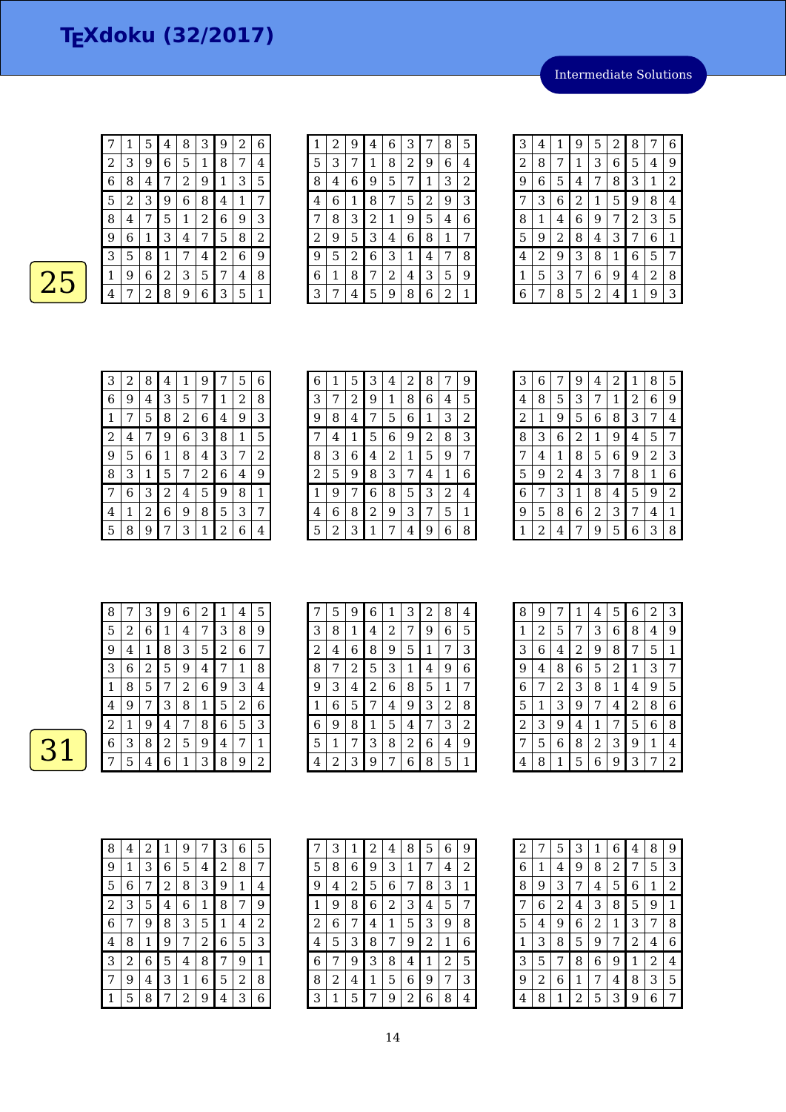Intermediate Solutions

|   |   | 5 | 4 | 8 | З | 9              | 2 | 6 |
|---|---|---|---|---|---|----------------|---|---|
| 2 | 3 | 9 | 6 | 5 | 1 | 8              | 7 | 4 |
| 6 | 8 | 4 | 7 | 2 | 9 | 1              | 3 | 5 |
| 5 | 2 | З | 9 | 6 | 8 | 4              | 1 | 7 |
| 8 | 4 | 7 | 5 | 1 | 2 | 6              | 9 | З |
| 9 | 6 | 1 | З | 4 | 7 | 5              | 8 | 2 |
| 3 | 5 | 8 | 1 | 7 | 4 | $\overline{2}$ | 6 | 9 |
| 1 | 9 | 6 | 2 | 3 | 5 | 7              | 4 | 8 |
| 4 | 7 | 2 | 8 | 9 | 6 | З              | 5 | 1 |

| 1 | 2 | 9 | 4 | 6 | 3 |   | 8 | 5 |
|---|---|---|---|---|---|---|---|---|
| 5 | З | 7 | 1 | 8 | 2 | 9 | 6 | 4 |
| 8 | 4 | 6 | 9 | 5 | 7 | 1 | 3 | 2 |
| 4 | 6 | 1 | 8 | 7 | 5 | 2 | 9 | 3 |
| 7 | 8 | 3 | 2 | 1 | 9 | 5 | 4 | 6 |
| 2 | 9 | 5 | 3 | 4 | 6 | 8 | 1 | 7 |
| 9 | 5 | 2 | 6 | 3 | 1 | 4 | 7 | 8 |
| 6 | 1 | 8 | 7 | 2 | 4 | 3 | 5 | 9 |
| З |   | 4 | 5 | 9 | 8 | 6 | 2 | 1 |
|   |   |   |   |   |   |   |   |   |

| 3<br>8<br>6<br>9<br>1<br>$\overline{c}$<br>7<br>5<br>4<br>$\overline{2}$<br>9<br>8<br>3<br>1<br>5<br>6<br>7<br>4<br>3<br>$\overline{2}$<br>9<br>8<br>5<br>$\mathbf{1}$<br>6<br>4<br>7<br>3<br>5<br>9<br>6<br>8<br>$\overline{2}$<br>7<br>1<br>4<br>2<br>5<br>3<br>8<br>6<br>9<br>1<br>7<br>4<br>5<br>8<br>3<br>9<br>$\overline{c}$<br>4<br>6<br>1<br>7<br>3<br>8<br>6<br>4<br>5<br>1<br>2<br>9<br>7<br>8<br>9<br>2<br>1<br>6<br>4<br>З<br>5<br>7<br>6<br>3<br>8<br>5<br>9<br>$\mathbf{1}$<br>2<br>4<br>7 |  |  |  |  |  |
|----------------------------------------------------------------------------------------------------------------------------------------------------------------------------------------------------------------------------------------------------------------------------------------------------------------------------------------------------------------------------------------------------------------------------------------------------------------------------------------------------------|--|--|--|--|--|
|                                                                                                                                                                                                                                                                                                                                                                                                                                                                                                          |  |  |  |  |  |
|                                                                                                                                                                                                                                                                                                                                                                                                                                                                                                          |  |  |  |  |  |
|                                                                                                                                                                                                                                                                                                                                                                                                                                                                                                          |  |  |  |  |  |
|                                                                                                                                                                                                                                                                                                                                                                                                                                                                                                          |  |  |  |  |  |
|                                                                                                                                                                                                                                                                                                                                                                                                                                                                                                          |  |  |  |  |  |
|                                                                                                                                                                                                                                                                                                                                                                                                                                                                                                          |  |  |  |  |  |
|                                                                                                                                                                                                                                                                                                                                                                                                                                                                                                          |  |  |  |  |  |
|                                                                                                                                                                                                                                                                                                                                                                                                                                                                                                          |  |  |  |  |  |
|                                                                                                                                                                                                                                                                                                                                                                                                                                                                                                          |  |  |  |  |  |

| 3 | 2 | 8 | 4 | 1 | 9 |   | 5 | 6 |
|---|---|---|---|---|---|---|---|---|
| 6 | 9 | 4 | 3 | 5 | 7 | 1 | 2 | 8 |
| 1 |   | 5 | 8 | 2 | 6 | 4 | 9 | 3 |
| 2 | 4 |   | 9 | 6 | 3 | 8 | 1 | 5 |
| 9 | 5 | 6 | 1 | 8 | 4 | З | 7 | 2 |
| 8 | 3 | 1 | 5 | 7 | 2 | 6 | 4 | 9 |
| 7 | 6 | 3 | 2 | 4 | 5 | 9 | 8 | 1 |
| 4 | 1 | 2 | 6 | 9 | 8 | 5 | 3 | 7 |
| 5 | 8 | 9 |   | 3 | 1 | 2 | 6 | 4 |

| 6 | 1 | 5 | 3 | 4 | 2 | 8 | 7 | 9 |
|---|---|---|---|---|---|---|---|---|
| 3 | 7 | 2 | 9 | 1 | 8 | 6 | 4 | 5 |
| 9 | 8 | 4 | 7 | 5 | 6 | 1 | З | 2 |
| 7 | 4 | 1 | 5 | 6 | 9 | 2 | 8 | 3 |
| 8 | 3 | 6 | 4 | 2 | 1 | 5 | 9 | 7 |
| 2 | 5 | 9 | 8 | 3 | 7 | 4 | 1 | 6 |
| 1 | 9 | 7 | 6 | 8 | 5 | 3 | 2 | 4 |
| 4 | 6 | 8 | 2 | 9 | 3 | 7 | 5 | 1 |
| 5 | 2 | 3 | 1 | 7 | 4 | 9 | 6 | 8 |

| 2<br>8<br>3<br>6<br>9<br>1<br>7<br>4<br>3<br>6<br>8<br>5<br>$\overline{c}$<br>7<br>1<br>4<br>2<br>3<br>8<br>9<br>5<br>6<br>1<br>7<br>8<br>$\overline{2}$<br>3<br>5<br>6<br>1<br>9<br>4<br>7<br>2<br>8<br>9<br>5<br>6<br>1<br>4 |   |
|--------------------------------------------------------------------------------------------------------------------------------------------------------------------------------------------------------------------------------|---|
|                                                                                                                                                                                                                                | 5 |
|                                                                                                                                                                                                                                | 9 |
|                                                                                                                                                                                                                                | 4 |
|                                                                                                                                                                                                                                | 7 |
|                                                                                                                                                                                                                                | 3 |
| 2<br>3<br>8<br>5<br>1<br>9<br>4<br>7                                                                                                                                                                                           | 6 |
| 6<br>3<br>5<br>8<br>9<br>7<br>1<br>4                                                                                                                                                                                           | 2 |
| 9<br>2<br>8<br>6<br>3<br>5<br>4<br>7                                                                                                                                                                                           | 1 |
| 2<br>3<br>5<br>6<br>9<br>1<br>4                                                                                                                                                                                                | 8 |

|                 | 8 |   | 3 | 9            | 6 | 2 | $\mathbf{1}$   | 4 | 5 |
|-----------------|---|---|---|--------------|---|---|----------------|---|---|
|                 | 5 | 2 | 6 | $\mathbf{1}$ | 4 | 7 | 3              | 8 | 9 |
|                 | 9 | 4 | 1 | 8            | З | 5 | $\overline{c}$ | 6 | 7 |
|                 | 3 | 6 | 2 | 5            | 9 | 4 | 7              | 1 | 8 |
|                 | 1 | 8 | 5 | 7            | 2 | 6 | 9              | 3 | 4 |
|                 | 4 | 9 | 7 | З            | 8 | 1 | 5              | 2 | 6 |
|                 | 2 | 1 | 9 | 4            | 7 | 8 | 6              | 5 | З |
| $\blacklozenge$ | 6 | 3 | 8 | 2            | 5 | 9 | 4              | 7 | 1 |
|                 |   | 5 | 4 | 6            | 1 | З | 8              | 9 | 2 |

| 7 | 5 | 9           | 6              | 1              | 3 | 2 | 8 | 4 |
|---|---|-------------|----------------|----------------|---|---|---|---|
| 3 | 8 | $\mathbf 1$ | 4              | $\overline{c}$ | 7 | 9 | 6 | 5 |
| 2 | 4 | 6           | 8              | 9              | 5 | 1 | 7 | 3 |
| 8 | 7 | 2           | 5              | 3              | 1 | 4 | 9 | 6 |
| 9 | 3 | 4           | $\overline{2}$ | 6              | 8 | 5 | 1 | 7 |
| 1 | 6 | 5           | 7              | 4              | 9 | 3 | 2 | 8 |
| 6 | 9 | 8           | 1              | 5              | 4 | 7 | 3 | 2 |
| 5 |   | 7           | 3              | 8              | 2 | 6 | 4 | 9 |
| 4 | 2 | 3           | 9              | 7              | 6 | 8 | 5 | 1 |

| 8            | 9 | 7           | 1              | 4              | 5              | 6 | 2 | 3 |
|--------------|---|-------------|----------------|----------------|----------------|---|---|---|
| $\mathbf{1}$ | 2 | 5           | 7              | 3              | 6              | 8 | 4 | 9 |
| 3            | 6 | 4           | $\overline{c}$ | 9              | 8              | 7 | 5 | 1 |
| 9            | 4 | 8           | 6              | 5              | $\overline{2}$ | 1 | 3 | 7 |
| 6            | 7 | 2           | 3              | 8              | 1              | 4 | 9 | 5 |
| 5            | 1 | 3           | 9              | 7              | 4              | 2 | 8 | 6 |
| 2            | 3 | 9           | 4              | 1              | 7              | 5 | 6 | 8 |
| 7            | 5 | 6           | 8              | $\overline{c}$ | 3              | 9 | 1 | 4 |
| 4            | 8 | $\mathbf 1$ | 5              | 6              | 9              | 3 | 7 | 2 |

| 8              | 4 | 2 | 1 | 9 | 7 | 3 | 6 | 5 |
|----------------|---|---|---|---|---|---|---|---|
| 9              | 1 | 3 | 6 | 5 | 4 | 2 | 8 | 7 |
| 5              | 6 | 7 | 2 | 8 | 3 | 9 | 1 | 4 |
| $\overline{2}$ | 3 | 5 | 4 | 6 | 1 | 8 | 7 | 9 |
| 6              | 7 | 9 | 8 | 3 | 5 | 1 | 4 | 2 |
| 4              | 8 | 1 | 9 | 7 | 2 | 6 | 5 | 3 |
| 3              | 2 | 6 | 5 | 4 | 8 | 7 | 9 | 1 |
| 7              | 9 | 4 | 3 | 1 | 6 | 5 | 2 | 8 |
|                | 5 | 8 | 7 | 2 | 9 | 4 | 3 | 6 |

| 7 | 3 | 1 | 2 | 4 | 8 | 5 | 6 | 9 |
|---|---|---|---|---|---|---|---|---|
| 5 | 8 | 6 | 9 | 3 | 1 | 7 | 4 | 2 |
| 9 | 4 | 2 | 5 | 6 | 7 | 8 | З | 1 |
| 1 | 9 | 8 | 6 | 2 | З | 4 | 5 | 7 |
| 2 | 6 | 7 | 4 | 1 | 5 | З | 9 | 8 |
| 4 | 5 | З | 8 | 7 | 9 | 2 | 1 | 6 |
| 6 | 7 | 9 | 3 | 8 | 4 | 1 | 2 | 5 |
| 8 | 2 | 4 | 1 | 5 | 6 | 9 | 7 | 3 |
| З | 1 | 5 | 7 | 9 | 2 | 6 | 8 | 4 |

| $\overline{c}$ | 7 | 5              | 3 | 1 | 6 | 4 | 8              | 9 |
|----------------|---|----------------|---|---|---|---|----------------|---|
| 6              | 1 | 4              | 9 | 8 | 2 | 7 | 5              | 3 |
| 8              | 9 | 3              | 7 | 4 | 5 | 6 | 1              | 2 |
| 7              | 6 | $\overline{c}$ | 4 | 3 | 8 | 5 | 9              | 1 |
| 5              | 4 | 9              | 6 | 2 | 1 | 3 | 7              | 8 |
| 1              | 3 | 8              | 5 | 9 | 7 | 2 | 4              | 6 |
| 3              | 5 | 7              | 8 | 6 | 9 | 1 | $\overline{c}$ | 4 |
| 9              | 2 | 6              | 1 | 7 | 4 | 8 | 3              | 5 |
| 4              | 8 | 1              | 2 | 5 | 3 | 9 | 6              | 7 |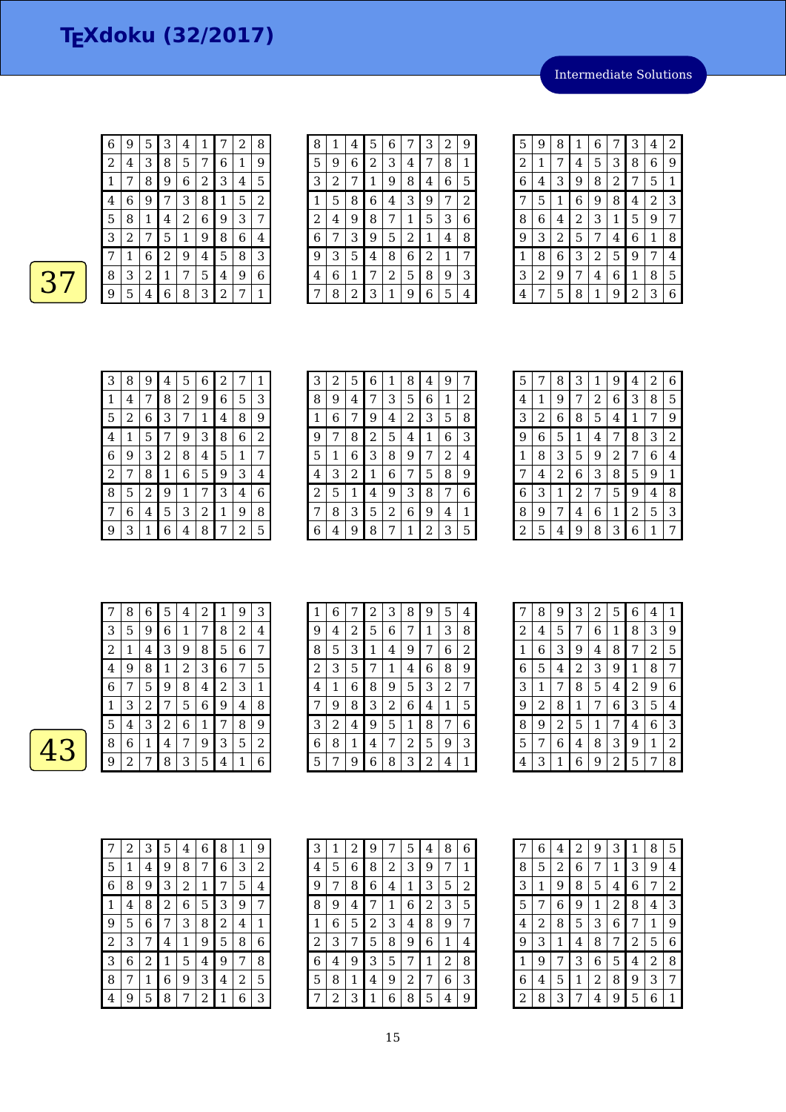Intermediate Solutions



| 6              | 9 | 5 | 3 | 4 | 1 | 7 | 2 | 8 |
|----------------|---|---|---|---|---|---|---|---|
| $\overline{c}$ | 4 | З | 8 | 5 | 7 | 6 | 1 | 9 |
| 1              |   | 8 | 9 | 6 | 2 | 3 | 4 | 5 |
| 4              | 6 | 9 | 7 | 3 | 8 | 1 | 5 | 2 |
| 5              | 8 | 1 | 4 | 2 | 6 | 9 | 3 | 7 |
| 3              | 2 | 7 | 5 | 1 | 9 | 8 | 6 | 4 |
| 7              | 1 | 6 | 2 | 9 | 4 | 5 | 8 | 3 |
| 8              | 3 | 2 | 1 | 7 | 5 | 4 | 9 | 6 |
| 9              | 5 | 4 | 6 | 8 | З | 2 | 7 | 1 |

| 8 | 1 | 4 | 5 | 6 |   | 3 | 2 | 9 |
|---|---|---|---|---|---|---|---|---|
| 5 | 9 | 6 | 2 | 3 | 4 | 7 | 8 | 1 |
| 3 | 2 | 7 | 1 | 9 | 8 | 4 | 6 | 5 |
| 1 | 5 | 8 | 6 | 4 | 3 | 9 | 7 | 2 |
| 2 | 4 | 9 | 8 | 7 | 1 | 5 | 3 | 6 |
| 6 | 7 | З | 9 | 5 | 2 | 1 | 4 | 8 |
| 9 | З | 5 | 4 | 8 | 6 | 2 | 1 | 7 |
| 4 | 6 | 1 | 7 | 2 | 5 | 8 | 9 | 3 |
|   | 8 | 2 | 3 | 1 | 9 | 6 | 5 | 4 |

| 5 | 9 | 8 | 1              | 6 | 7              | 3 | 4              | 2 |
|---|---|---|----------------|---|----------------|---|----------------|---|
| 2 | 1 | 7 | 4              | 5 | 3              | 8 | 6              | 9 |
| 6 | 4 | 3 | 9              | 8 | $\overline{c}$ | 7 | 5              | 1 |
| 7 | 5 | 1 | 6              | 9 | 8              | 4 | $\overline{2}$ | 3 |
| 8 | 6 | 4 | $\overline{c}$ | 3 | 1              | 5 | 9              | 7 |
| 9 | З | 2 | 5              | 7 | 4              | 6 | 1              | 8 |
| 1 | 8 | 6 | 3              | 2 | 5              | 9 | 7              | 4 |
| 3 | 2 | 9 | 7              | 4 | 6              | 1 | 8              | 5 |
| 4 | 7 | 5 | 8              | 1 | 9              | 2 | 3              | 6 |

| 3 | 8 | 9 | 4 | 5 | 6 | 2 | 7 | 1 |
|---|---|---|---|---|---|---|---|---|
| 1 | 4 | 7 | 8 | 2 | 9 | 6 | 5 | З |
| 5 | 2 | 6 | 3 | 7 | 1 | 4 | 8 | 9 |
| 4 | 1 | 5 | 7 | 9 | 3 | 8 | 6 | 2 |
| 6 | 9 | З | 2 | 8 | 4 | 5 | 1 | 7 |
| 2 | 7 | 8 | 1 | 6 | 5 | 9 | 3 | 4 |
| 8 | 5 | 2 | 9 | 1 | 7 | 3 | 4 | 6 |
| 7 | 6 | 4 | 5 | 3 | 2 | 1 | 9 | 8 |
| 9 | З | 1 | 6 | 4 | 8 |   | 2 | 5 |

| З | 2 | 5 | 6 | 1 | 8 | 4 | 9 |   |
|---|---|---|---|---|---|---|---|---|
| 8 | 9 | 4 | 7 | 3 | 5 | 6 | 1 | 2 |
| 1 | 6 | 7 | 9 | 4 | 2 | 3 | 5 | 8 |
| 9 | 7 | 8 | 2 | 5 | 4 | 1 | 6 | З |
| 5 | 1 | 6 | 3 | 8 | 9 | 7 | 2 | 4 |
| 4 | 3 | 2 | 1 | 6 | 7 | 5 | 8 | 9 |
| 2 | 5 | 1 | 4 | 9 | З | 8 | 7 | 6 |
| 7 | 8 | 3 | 5 | 2 | 6 | 9 | 4 | 1 |
| 6 | 4 | 9 | 8 | 7 | 1 | 2 | 3 | 5 |

| 5              | 7 | 8 | 3              | 1              | 9 | 4 | 2 | 6              |
|----------------|---|---|----------------|----------------|---|---|---|----------------|
| 4              | 1 | 9 | 7              | $\overline{c}$ | 6 | 3 | 8 | 5              |
| 3              | 2 | 6 | 8              | 5              | 4 | 1 | 7 | 9              |
| 9              | 6 | 5 | 1              | 4              | 7 | 8 | 3 | $\overline{2}$ |
| 1              | 8 | 3 | 5              | 9              | 2 | 7 | 6 | 4              |
| 7              | 4 | 2 | 6              | 3              | 8 | 5 | 9 | $\mathbf 1$    |
| 6              | 3 | 1 | $\overline{2}$ | 7              | 5 | 9 | 4 | 8              |
| 8              | 9 | 7 | 4              | 6              | 1 | 2 | 5 | 3              |
| $\overline{c}$ | 5 | 4 | 9              | 8              | 3 | 6 | 1 | 7              |

|   | 8 | 6 | 5 | 4 | 2 | 1 | 9 | З |
|---|---|---|---|---|---|---|---|---|
| З | 5 | 9 | 6 | 1 | 7 | 8 | 2 | 4 |
| 2 | 1 | 4 | З | 9 | 8 | 5 | 6 | 7 |
| 4 | 9 | 8 | 1 | 2 | 3 | 6 | 7 | 5 |
| 6 | 7 | 5 | 9 | 8 | 4 | 2 | 3 | 1 |
| 1 | З | 2 | 7 | 5 | 6 | 9 | 4 | 8 |
| 5 | 4 | 3 | 2 | 6 | 1 | 7 | 8 | 9 |
| 8 | 6 | 1 | 4 | 7 | 9 | 3 | 5 | 2 |
| 9 | 2 | 7 | 8 | З | 5 | 4 | 1 | 6 |

| 1 | 6 | 7 | 2 | З | 8 | 9 | 5 | 4 |
|---|---|---|---|---|---|---|---|---|
| 9 | 4 | 2 | 5 | 6 |   | 1 | 3 | 8 |
| 8 | 5 | 3 | 1 | 4 | 9 | 7 | 6 | 2 |
| 2 | З | 5 | 7 | 1 | 4 | 6 | 8 | 9 |
| 4 | 1 | 6 | 8 | 9 | 5 | 3 | 2 | 7 |
| 7 | 9 | 8 | 3 | 2 | 6 | 4 | 1 | 5 |
| 3 | 2 | 4 | 9 | 5 | 1 | 8 | 7 | 6 |
| 6 | 8 | 1 | 4 | 7 | 2 | 5 | 9 | 3 |
| 5 |   | 9 | 6 | 8 | 3 | 2 | 4 | 1 |

| 7 | 8 | 9              | 3           | $\overline{c}$ | 5 | 6 | 4              | $\mathbf 1$    |
|---|---|----------------|-------------|----------------|---|---|----------------|----------------|
| 2 | 4 | 5              | 7           | 6              | 1 | 8 | 3              | 9              |
| 1 | 6 | 3              | 9           | 4              | 8 | 7 | $\overline{c}$ | 5              |
| 6 | 5 | 4              | 2           | 3              | 9 | 1 | 8              | 7              |
| 3 | 1 | 7              | 8           | 5              | 4 | 2 | 9              | 6              |
| 9 | 2 | 8              | $\mathbf 1$ | 7              | 6 | 3 | 5              | 4              |
| 8 | 9 | $\overline{c}$ | 5           | 1              | 7 | 4 | 6              | 3              |
| 5 | 7 | 6              | 4           | 8              | 3 | 9 | 1              | $\overline{2}$ |
| 4 | 3 | 1              | 6           | 9              | 2 | 5 | 7              | 8              |

| 7 | 2 | 3 | 5           | 4 | 6 | 8 |   | 9 |
|---|---|---|-------------|---|---|---|---|---|
| 5 | 1 | 4 | 9           | 8 | 7 | 6 | З | 2 |
| 6 | 8 | 9 | З           | 2 | 1 |   | 5 | 4 |
| 1 | 4 | 8 | 2           | 6 | 5 | 3 | 9 | 7 |
| 9 | 5 | 6 | 7           | 3 | 8 | 2 | 4 | 1 |
| 2 | З | 7 | 4           | 1 | 9 | 5 | 8 | 6 |
| З | 6 | 2 | $\mathbf 1$ | 5 | 4 | 9 | 7 | 8 |
| 8 | 7 | 1 | 6           | 9 | 3 | 4 | 2 | 5 |
| 4 | 9 | 5 | 8           |   | 2 | 1 | 6 | 3 |

| 3              | 1 | 2 | 9 | 7 | 5 | 4              | 8 | 6 |
|----------------|---|---|---|---|---|----------------|---|---|
| 4              | 5 | 6 | 8 | 2 | 3 | 9              | 7 | 1 |
| 9              | 7 | 8 | 6 | 4 | 1 | З              | 5 | 2 |
| 8              | 9 | 4 | 7 | 1 | 6 | $\overline{c}$ | 3 | 5 |
| 1              | 6 | 5 | 2 | З | 4 | 8              | 9 | 7 |
| $\overline{c}$ | 3 | 7 | 5 | 8 | 9 | 6              | 1 | 4 |
| 6              | 4 | 9 | З | 5 | 7 | 1              | 2 | 8 |
| 5              | 8 | 1 | 4 | 9 | 2 | 7              | 6 | З |
|                | 2 | З | 1 | 6 | 8 | 5              | 4 | 9 |

| 7 | 6 | 4 | $\overline{c}$ | 9 | 3              | 1 | 8 | 5              |
|---|---|---|----------------|---|----------------|---|---|----------------|
| 8 | 5 | 2 | 6              | 7 | $\mathbf{1}$   | 3 | 9 | 4              |
| 3 | 1 | 9 | 8              | 5 | 4              | 6 | 7 | $\overline{c}$ |
| 5 | 7 | 6 | 9              | 1 | $\overline{c}$ | 8 | 4 | 3              |
| 4 | 2 | 8 | 5              | 3 | 6              | 7 | 1 | 9              |
| 9 | 3 | 1 | 4              | 8 | 7              | 2 | 5 | 6              |
| 1 | 9 | 7 | 3              | 6 | 5              | 4 | 2 | 8              |
| 6 | 4 | 5 | 1              | 2 | 8              | 9 | 3 | 7              |
| 2 | 8 | З | 7              | 4 | 9              | 5 | 6 | 1              |